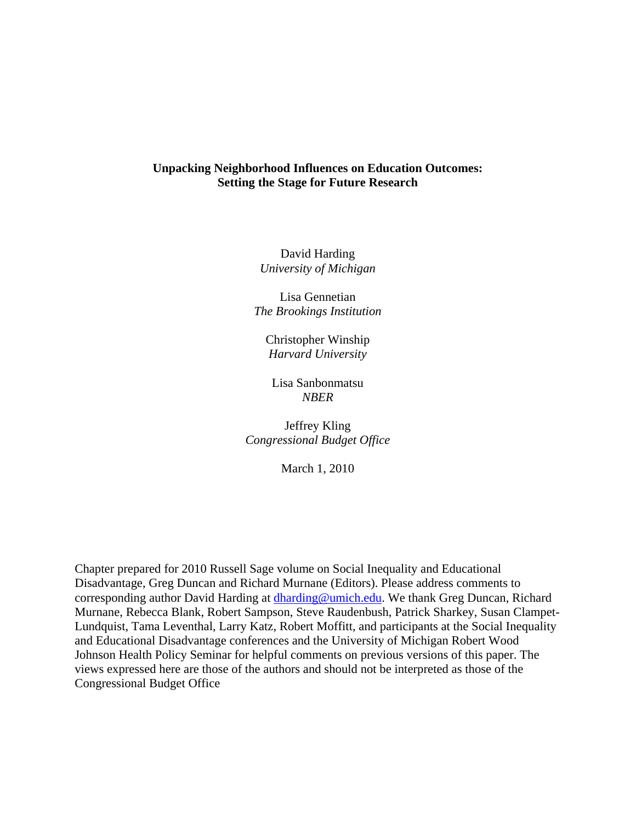## **Unpacking Neighborhood Influences on Education Outcomes: Setting the Stage for Future Research**

David Harding *University of Michigan* 

Lisa Gennetian *The Brookings Institution* 

Christopher Winship *Harvard University* 

Lisa Sanbonmatsu *NBER* 

Jeffrey Kling *Congressional Budget Office* 

March 1, 2010

Chapter prepared for 2010 Russell Sage volume on Social Inequality and Educational Disadvantage, Greg Duncan and Richard Murnane (Editors). Please address comments to corresponding author David Harding at *dharding@umich.edu*. We thank Greg Duncan, Richard Murnane, Rebecca Blank, Robert Sampson, Steve Raudenbush, Patrick Sharkey, Susan Clampet-Lundquist, Tama Leventhal, Larry Katz, Robert Moffitt, and participants at the Social Inequality and Educational Disadvantage conferences and the University of Michigan Robert Wood Johnson Health Policy Seminar for helpful comments on previous versions of this paper. The views expressed here are those of the authors and should not be interpreted as those of the Congressional Budget Office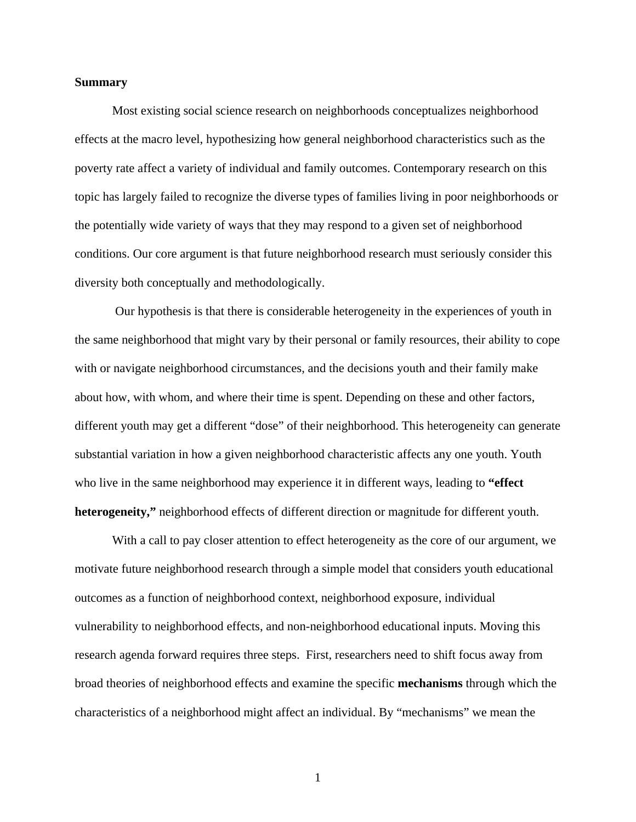## **Summary**

Most existing social science research on neighborhoods conceptualizes neighborhood effects at the macro level, hypothesizing how general neighborhood characteristics such as the poverty rate affect a variety of individual and family outcomes. Contemporary research on this topic has largely failed to recognize the diverse types of families living in poor neighborhoods or the potentially wide variety of ways that they may respond to a given set of neighborhood conditions. Our core argument is that future neighborhood research must seriously consider this diversity both conceptually and methodologically.

 Our hypothesis is that there is considerable heterogeneity in the experiences of youth in the same neighborhood that might vary by their personal or family resources, their ability to cope with or navigate neighborhood circumstances, and the decisions youth and their family make about how, with whom, and where their time is spent. Depending on these and other factors, different youth may get a different "dose" of their neighborhood. This heterogeneity can generate substantial variation in how a given neighborhood characteristic affects any one youth. Youth who live in the same neighborhood may experience it in different ways, leading to **"effect heterogeneity,"** neighborhood effects of different direction or magnitude for different youth.

With a call to pay closer attention to effect heterogeneity as the core of our argument, we motivate future neighborhood research through a simple model that considers youth educational outcomes as a function of neighborhood context, neighborhood exposure, individual vulnerability to neighborhood effects, and non-neighborhood educational inputs. Moving this research agenda forward requires three steps. First, researchers need to shift focus away from broad theories of neighborhood effects and examine the specific **mechanisms** through which the characteristics of a neighborhood might affect an individual. By "mechanisms" we mean the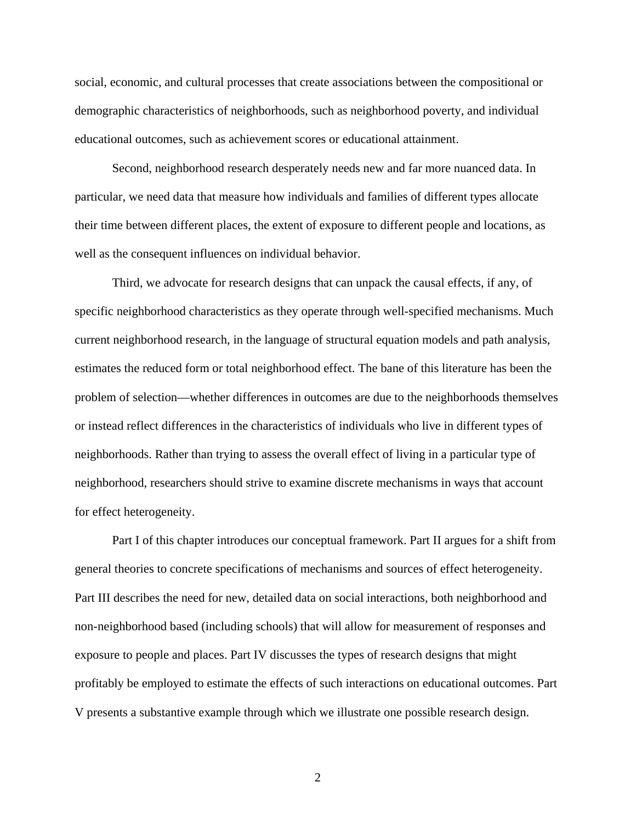social, economic, and cultural processes that create associations between the compositional or demographic characteristics of neighborhoods, such as neighborhood poverty, and individual educational outcomes, such as achievement scores or educational attainment.

Second, neighborhood research desperately needs new and far more nuanced data. In particular, we need data that measure how individuals and families of different types allocate their time between different places, the extent of exposure to different people and locations, as well as the consequent influences on individual behavior.

Third, we advocate for research designs that can unpack the causal effects, if any, of specific neighborhood characteristics as they operate through well-specified mechanisms. Much current neighborhood research, in the language of structural equation models and path analysis, estimates the reduced form or total neighborhood effect. The bane of this literature has been the problem of selection—whether differences in outcomes are due to the neighborhoods themselves or instead reflect differences in the characteristics of individuals who live in different types of neighborhoods. Rather than trying to assess the overall effect of living in a particular type of neighborhood, researchers should strive to examine discrete mechanisms in ways that account for effect heterogeneity.

Part I of this chapter introduces our conceptual framework. Part II argues for a shift from general theories to concrete specifications of mechanisms and sources of effect heterogeneity. Part III describes the need for new, detailed data on social interactions, both neighborhood and non-neighborhood based (including schools) that will allow for measurement of responses and exposure to people and places. Part IV discusses the types of research designs that might profitably be employed to estimate the effects of such interactions on educational outcomes. Part V presents a substantive example through which we illustrate one possible research design.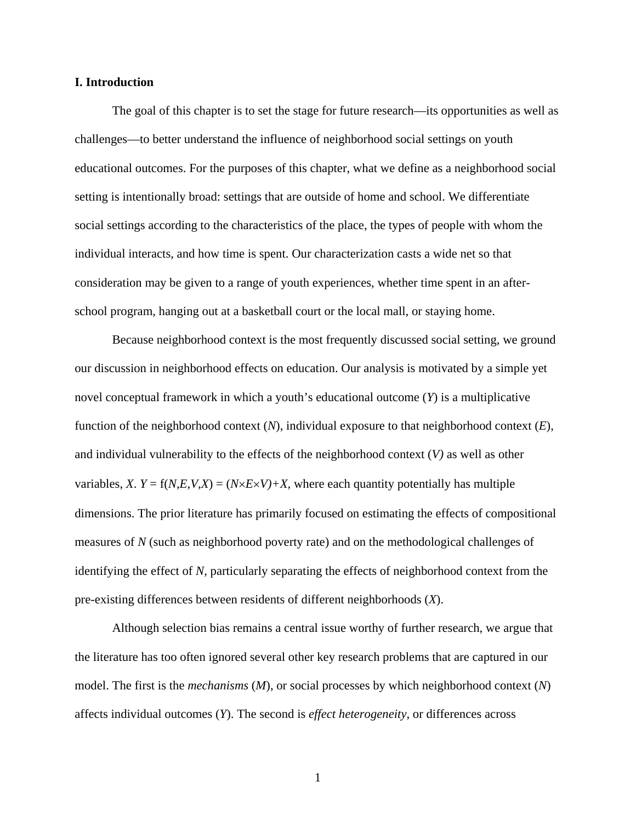## **I. Introduction**

The goal of this chapter is to set the stage for future research—its opportunities as well as challenges—to better understand the influence of neighborhood social settings on youth educational outcomes. For the purposes of this chapter, what we define as a neighborhood social setting is intentionally broad: settings that are outside of home and school. We differentiate social settings according to the characteristics of the place, the types of people with whom the individual interacts, and how time is spent. Our characterization casts a wide net so that consideration may be given to a range of youth experiences, whether time spent in an afterschool program, hanging out at a basketball court or the local mall, or staying home.

Because neighborhood context is the most frequently discussed social setting, we ground our discussion in neighborhood effects on education. Our analysis is motivated by a simple yet novel conceptual framework in which a youth's educational outcome (*Y*) is a multiplicative function of the neighborhood context (*N*), individual exposure to that neighborhood context (*E*), and individual vulnerability to the effects of the neighborhood context (*V)* as well as other variables, *X*.  $Y = f(N,E,V,X) = (N \times E \times V) + X$ , where each quantity potentially has multiple dimensions. The prior literature has primarily focused on estimating the effects of compositional measures of *N* (such as neighborhood poverty rate) and on the methodological challenges of identifying the effect of *N*, particularly separating the effects of neighborhood context from the pre-existing differences between residents of different neighborhoods (*X*).

Although selection bias remains a central issue worthy of further research, we argue that the literature has too often ignored several other key research problems that are captured in our model. The first is the *mechanisms* (*M*), or social processes by which neighborhood context (*N*) affects individual outcomes (*Y*). The second is *effect heterogeneity*, or differences across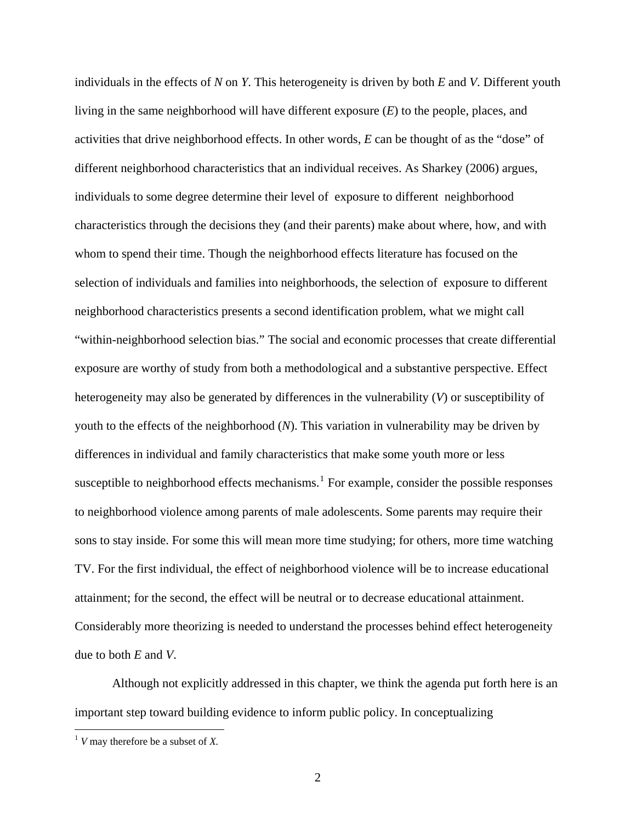individuals in the effects of *N* on *Y*. This heterogeneity is driven by both *E* and *V*. Different youth living in the same neighborhood will have different exposure (*E*) to the people, places, and activities that drive neighborhood effects. In other words, *E* can be thought of as the "dose" of different neighborhood characteristics that an individual receives. As Sharkey (2006) argues, individuals to some degree determine their level of exposure to different neighborhood characteristics through the decisions they (and their parents) make about where, how, and with whom to spend their time. Though the neighborhood effects literature has focused on the selection of individuals and families into neighborhoods, the selection of exposure to different neighborhood characteristics presents a second identification problem, what we might call "within-neighborhood selection bias." The social and economic processes that create differential exposure are worthy of study from both a methodological and a substantive perspective. Effect heterogeneity may also be generated by differences in the vulnerability (*V*) or susceptibility of youth to the effects of the neighborhood (*N*). This variation in vulnerability may be driven by differences in individual and family characteristics that make some youth more or less susceptible to neighborhood effects mechanisms.<sup>[1](#page-4-0)</sup> For example, consider the possible responses to neighborhood violence among parents of male adolescents. Some parents may require their sons to stay inside. For some this will mean more time studying; for others, more time watching TV. For the first individual, the effect of neighborhood violence will be to increase educational attainment; for the second, the effect will be neutral or to decrease educational attainment. Considerably more theorizing is needed to understand the processes behind effect heterogeneity due to both *E* and *V*.

Although not explicitly addressed in this chapter, we think the agenda put forth here is an important step toward building evidence to inform public policy. In conceptualizing

 $\overline{a}$ 

<span id="page-4-0"></span> $1$  *V* may therefore be a subset of *X*.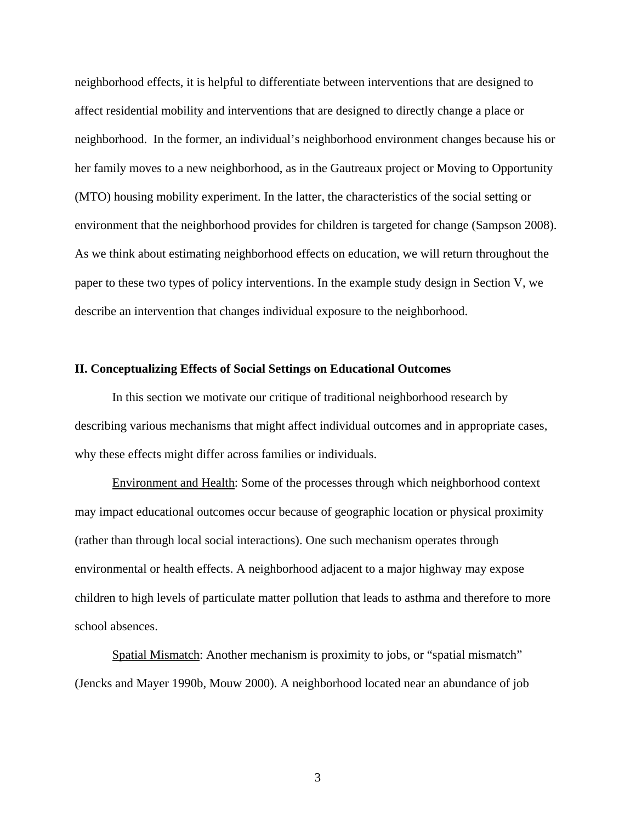neighborhood effects, it is helpful to differentiate between interventions that are designed to affect residential mobility and interventions that are designed to directly change a place or neighborhood. In the former, an individual's neighborhood environment changes because his or her family moves to a new neighborhood, as in the Gautreaux project or Moving to Opportunity (MTO) housing mobility experiment. In the latter, the characteristics of the social setting or environment that the neighborhood provides for children is targeted for change (Sampson 2008). As we think about estimating neighborhood effects on education, we will return throughout the paper to these two types of policy interventions. In the example study design in Section V, we describe an intervention that changes individual exposure to the neighborhood.

## **II. Conceptualizing Effects of Social Settings on Educational Outcomes**

 In this section we motivate our critique of traditional neighborhood research by describing various mechanisms that might affect individual outcomes and in appropriate cases, why these effects might differ across families or individuals.

Environment and Health: Some of the processes through which neighborhood context may impact educational outcomes occur because of geographic location or physical proximity (rather than through local social interactions). One such mechanism operates through environmental or health effects. A neighborhood adjacent to a major highway may expose children to high levels of particulate matter pollution that leads to asthma and therefore to more school absences.

Spatial Mismatch: Another mechanism is proximity to jobs, or "spatial mismatch" (Jencks and Mayer 1990b, Mouw 2000). A neighborhood located near an abundance of job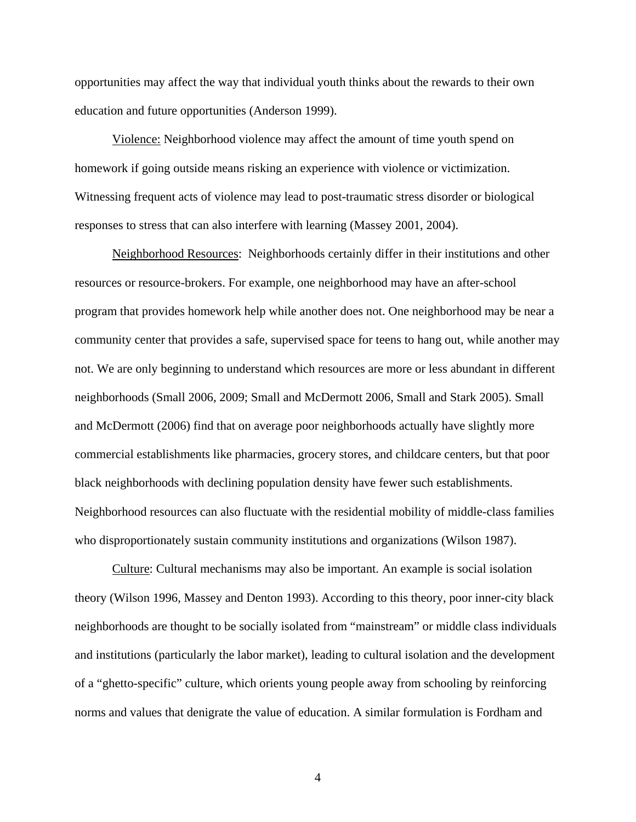opportunities may affect the way that individual youth thinks about the rewards to their own education and future opportunities (Anderson 1999).

Violence: Neighborhood violence may affect the amount of time youth spend on homework if going outside means risking an experience with violence or victimization. Witnessing frequent acts of violence may lead to post-traumatic stress disorder or biological responses to stress that can also interfere with learning (Massey 2001, 2004).

Neighborhood Resources: Neighborhoods certainly differ in their institutions and other resources or resource-brokers. For example, one neighborhood may have an after-school program that provides homework help while another does not. One neighborhood may be near a community center that provides a safe, supervised space for teens to hang out, while another may not. We are only beginning to understand which resources are more or less abundant in different neighborhoods (Small 2006, 2009; Small and McDermott 2006, Small and Stark 2005). Small and McDermott (2006) find that on average poor neighborhoods actually have slightly more commercial establishments like pharmacies, grocery stores, and childcare centers, but that poor black neighborhoods with declining population density have fewer such establishments. Neighborhood resources can also fluctuate with the residential mobility of middle-class families who disproportionately sustain community institutions and organizations (Wilson 1987).

Culture: Cultural mechanisms may also be important. An example is social isolation theory (Wilson 1996, Massey and Denton 1993). According to this theory, poor inner-city black neighborhoods are thought to be socially isolated from "mainstream" or middle class individuals and institutions (particularly the labor market), leading to cultural isolation and the development of a "ghetto-specific" culture, which orients young people away from schooling by reinforcing norms and values that denigrate the value of education. A similar formulation is Fordham and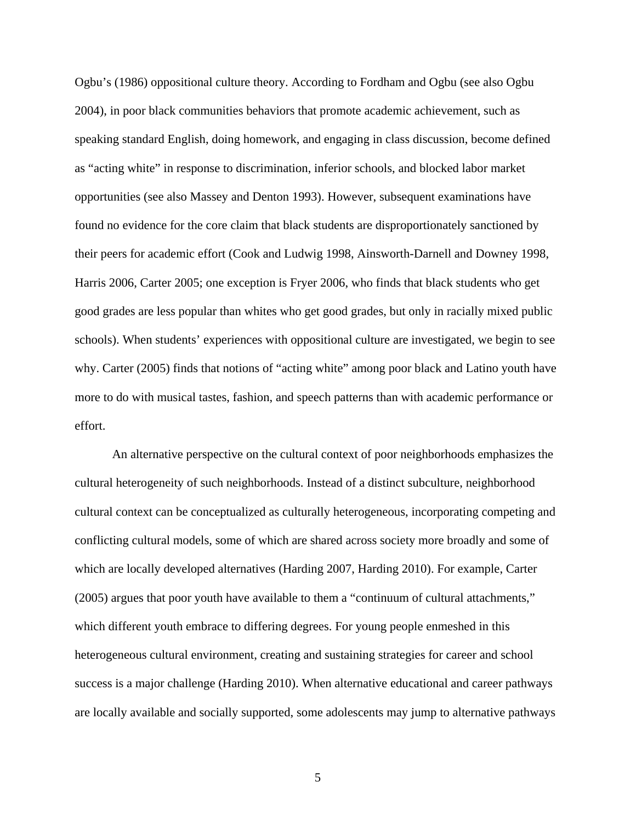Ogbu's (1986) oppositional culture theory. According to Fordham and Ogbu (see also Ogbu 2004), in poor black communities behaviors that promote academic achievement, such as speaking standard English, doing homework, and engaging in class discussion, become defined as "acting white" in response to discrimination, inferior schools, and blocked labor market opportunities (see also Massey and Denton 1993). However, subsequent examinations have found no evidence for the core claim that black students are disproportionately sanctioned by their peers for academic effort (Cook and Ludwig 1998, Ainsworth-Darnell and Downey 1998, Harris 2006, Carter 2005; one exception is Fryer 2006, who finds that black students who get good grades are less popular than whites who get good grades, but only in racially mixed public schools). When students' experiences with oppositional culture are investigated, we begin to see why. Carter (2005) finds that notions of "acting white" among poor black and Latino youth have more to do with musical tastes, fashion, and speech patterns than with academic performance or effort.

An alternative perspective on the cultural context of poor neighborhoods emphasizes the cultural heterogeneity of such neighborhoods. Instead of a distinct subculture, neighborhood cultural context can be conceptualized as culturally heterogeneous, incorporating competing and conflicting cultural models, some of which are shared across society more broadly and some of which are locally developed alternatives (Harding 2007, Harding 2010). For example, Carter (2005) argues that poor youth have available to them a "continuum of cultural attachments," which different youth embrace to differing degrees. For young people enmeshed in this heterogeneous cultural environment, creating and sustaining strategies for career and school success is a major challenge (Harding 2010). When alternative educational and career pathways are locally available and socially supported, some adolescents may jump to alternative pathways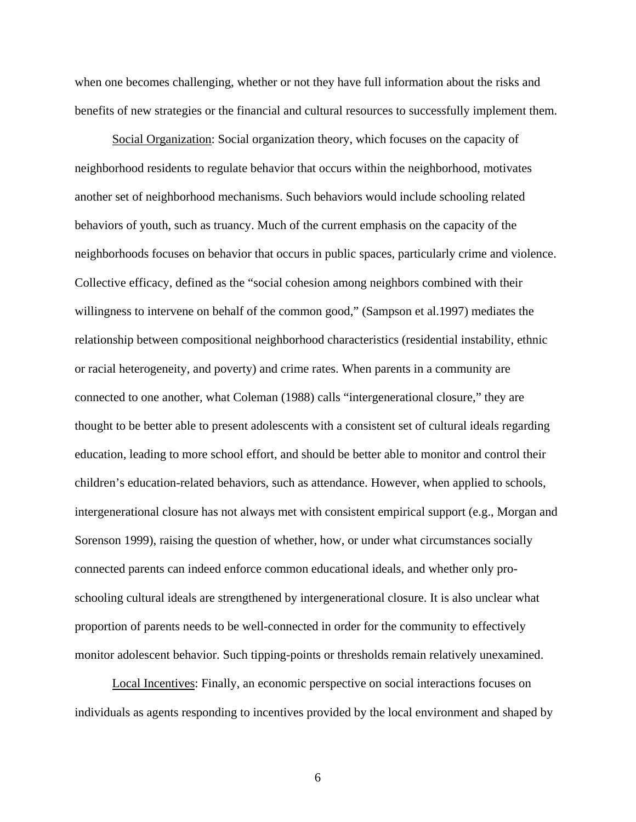when one becomes challenging, whether or not they have full information about the risks and benefits of new strategies or the financial and cultural resources to successfully implement them.

Social Organization: Social organization theory, which focuses on the capacity of neighborhood residents to regulate behavior that occurs within the neighborhood, motivates another set of neighborhood mechanisms. Such behaviors would include schooling related behaviors of youth, such as truancy. Much of the current emphasis on the capacity of the neighborhoods focuses on behavior that occurs in public spaces, particularly crime and violence. Collective efficacy, defined as the "social cohesion among neighbors combined with their willingness to intervene on behalf of the common good," (Sampson et al.1997) mediates the relationship between compositional neighborhood characteristics (residential instability, ethnic or racial heterogeneity, and poverty) and crime rates. When parents in a community are connected to one another, what Coleman (1988) calls "intergenerational closure," they are thought to be better able to present adolescents with a consistent set of cultural ideals regarding education, leading to more school effort, and should be better able to monitor and control their children's education-related behaviors, such as attendance. However, when applied to schools, intergenerational closure has not always met with consistent empirical support (e.g., Morgan and Sorenson 1999), raising the question of whether, how, or under what circumstances socially connected parents can indeed enforce common educational ideals, and whether only proschooling cultural ideals are strengthened by intergenerational closure. It is also unclear what proportion of parents needs to be well-connected in order for the community to effectively monitor adolescent behavior. Such tipping-points or thresholds remain relatively unexamined.

Local Incentives: Finally, an economic perspective on social interactions focuses on individuals as agents responding to incentives provided by the local environment and shaped by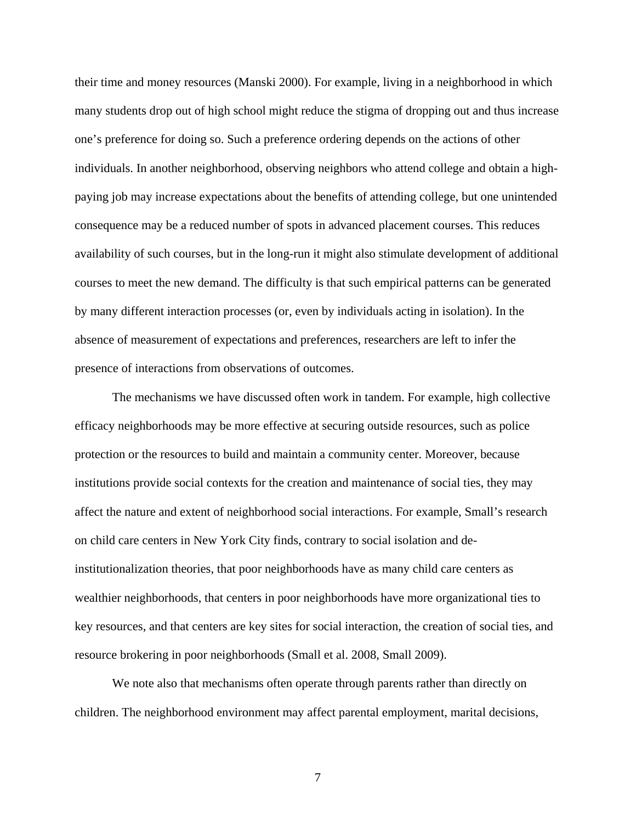their time and money resources (Manski 2000). For example, living in a neighborhood in which many students drop out of high school might reduce the stigma of dropping out and thus increase one's preference for doing so. Such a preference ordering depends on the actions of other individuals. In another neighborhood, observing neighbors who attend college and obtain a highpaying job may increase expectations about the benefits of attending college, but one unintended consequence may be a reduced number of spots in advanced placement courses. This reduces availability of such courses, but in the long-run it might also stimulate development of additional courses to meet the new demand. The difficulty is that such empirical patterns can be generated by many different interaction processes (or, even by individuals acting in isolation). In the absence of measurement of expectations and preferences, researchers are left to infer the presence of interactions from observations of outcomes.

The mechanisms we have discussed often work in tandem. For example, high collective efficacy neighborhoods may be more effective at securing outside resources, such as police protection or the resources to build and maintain a community center. Moreover, because institutions provide social contexts for the creation and maintenance of social ties, they may affect the nature and extent of neighborhood social interactions. For example, Small's research on child care centers in New York City finds, contrary to social isolation and deinstitutionalization theories, that poor neighborhoods have as many child care centers as wealthier neighborhoods, that centers in poor neighborhoods have more organizational ties to key resources, and that centers are key sites for social interaction, the creation of social ties, and resource brokering in poor neighborhoods (Small et al. 2008, Small 2009).

We note also that mechanisms often operate through parents rather than directly on children. The neighborhood environment may affect parental employment, marital decisions,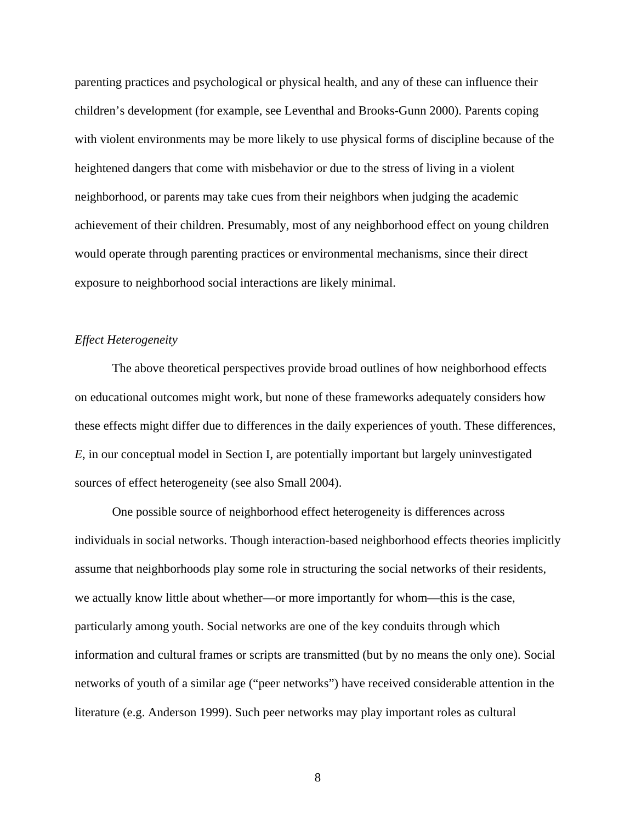parenting practices and psychological or physical health, and any of these can influence their children's development (for example, see Leventhal and Brooks-Gunn 2000). Parents coping with violent environments may be more likely to use physical forms of discipline because of the heightened dangers that come with misbehavior or due to the stress of living in a violent neighborhood, or parents may take cues from their neighbors when judging the academic achievement of their children. Presumably, most of any neighborhood effect on young children would operate through parenting practices or environmental mechanisms, since their direct exposure to neighborhood social interactions are likely minimal.

## *Effect Heterogeneity*

 The above theoretical perspectives provide broad outlines of how neighborhood effects on educational outcomes might work, but none of these frameworks adequately considers how these effects might differ due to differences in the daily experiences of youth. These differences, *E*, in our conceptual model in Section I, are potentially important but largely uninvestigated sources of effect heterogeneity (see also Small 2004).

One possible source of neighborhood effect heterogeneity is differences across individuals in social networks. Though interaction-based neighborhood effects theories implicitly assume that neighborhoods play some role in structuring the social networks of their residents, we actually know little about whether—or more importantly for whom—this is the case, particularly among youth. Social networks are one of the key conduits through which information and cultural frames or scripts are transmitted (but by no means the only one). Social networks of youth of a similar age ("peer networks") have received considerable attention in the literature (e.g. Anderson 1999). Such peer networks may play important roles as cultural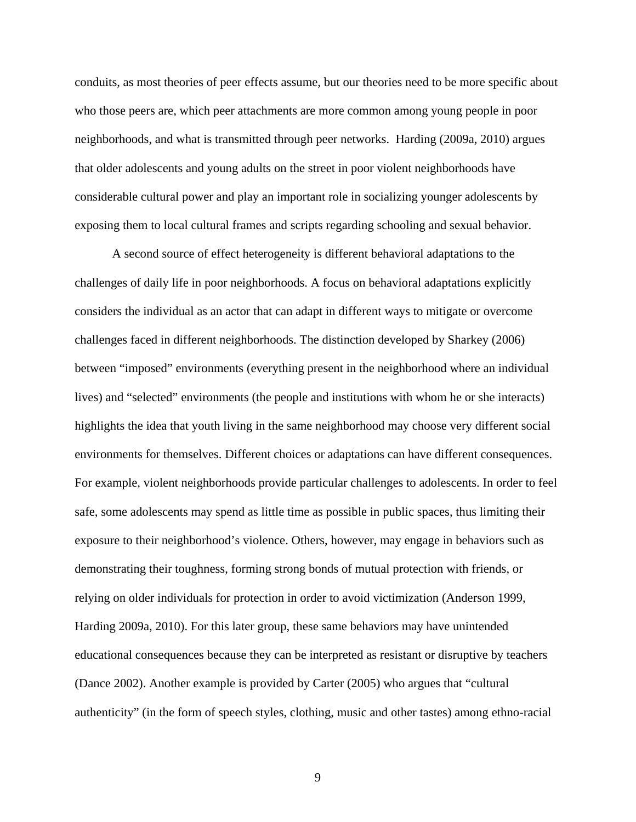conduits, as most theories of peer effects assume, but our theories need to be more specific about who those peers are, which peer attachments are more common among young people in poor neighborhoods, and what is transmitted through peer networks. Harding (2009a, 2010) argues that older adolescents and young adults on the street in poor violent neighborhoods have considerable cultural power and play an important role in socializing younger adolescents by exposing them to local cultural frames and scripts regarding schooling and sexual behavior.

A second source of effect heterogeneity is different behavioral adaptations to the challenges of daily life in poor neighborhoods. A focus on behavioral adaptations explicitly considers the individual as an actor that can adapt in different ways to mitigate or overcome challenges faced in different neighborhoods. The distinction developed by Sharkey (2006) between "imposed" environments (everything present in the neighborhood where an individual lives) and "selected" environments (the people and institutions with whom he or she interacts) highlights the idea that youth living in the same neighborhood may choose very different social environments for themselves. Different choices or adaptations can have different consequences. For example, violent neighborhoods provide particular challenges to adolescents. In order to feel safe, some adolescents may spend as little time as possible in public spaces, thus limiting their exposure to their neighborhood's violence. Others, however, may engage in behaviors such as demonstrating their toughness, forming strong bonds of mutual protection with friends, or relying on older individuals for protection in order to avoid victimization (Anderson 1999, Harding 2009a, 2010). For this later group, these same behaviors may have unintended educational consequences because they can be interpreted as resistant or disruptive by teachers (Dance 2002). Another example is provided by Carter (2005) who argues that "cultural authenticity" (in the form of speech styles, clothing, music and other tastes) among ethno-racial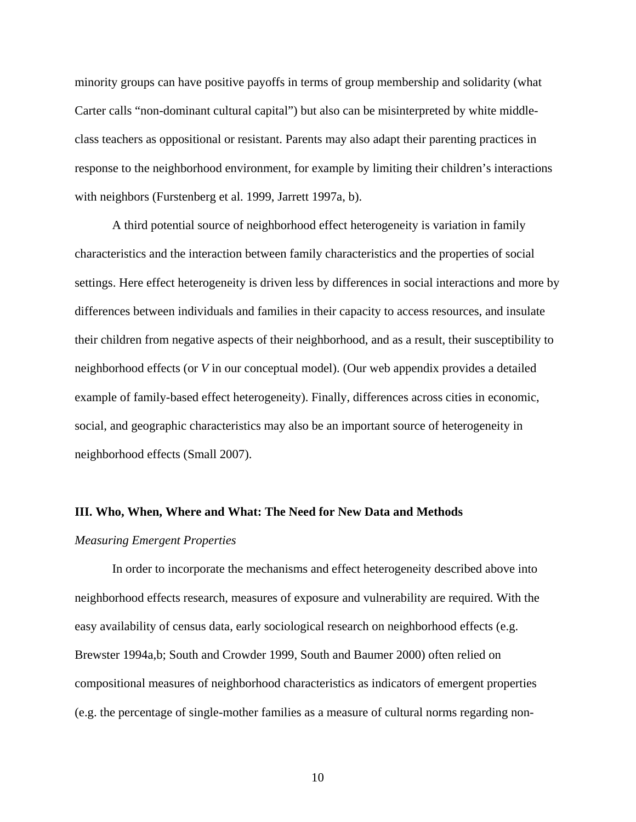minority groups can have positive payoffs in terms of group membership and solidarity (what Carter calls "non-dominant cultural capital") but also can be misinterpreted by white middleclass teachers as oppositional or resistant. Parents may also adapt their parenting practices in response to the neighborhood environment, for example by limiting their children's interactions with neighbors (Furstenberg et al. 1999, Jarrett 1997a, b).

A third potential source of neighborhood effect heterogeneity is variation in family characteristics and the interaction between family characteristics and the properties of social settings. Here effect heterogeneity is driven less by differences in social interactions and more by differences between individuals and families in their capacity to access resources, and insulate their children from negative aspects of their neighborhood, and as a result, their susceptibility to neighborhood effects (or *V* in our conceptual model). (Our web appendix provides a detailed example of family-based effect heterogeneity). Finally, differences across cities in economic, social, and geographic characteristics may also be an important source of heterogeneity in neighborhood effects (Small 2007).

## **III. Who, When, Where and What: The Need for New Data and Methods**

#### *Measuring Emergent Properties*

In order to incorporate the mechanisms and effect heterogeneity described above into neighborhood effects research, measures of exposure and vulnerability are required. With the easy availability of census data, early sociological research on neighborhood effects (e.g. Brewster 1994a,b; South and Crowder 1999, South and Baumer 2000) often relied on compositional measures of neighborhood characteristics as indicators of emergent properties (e.g. the percentage of single-mother families as a measure of cultural norms regarding non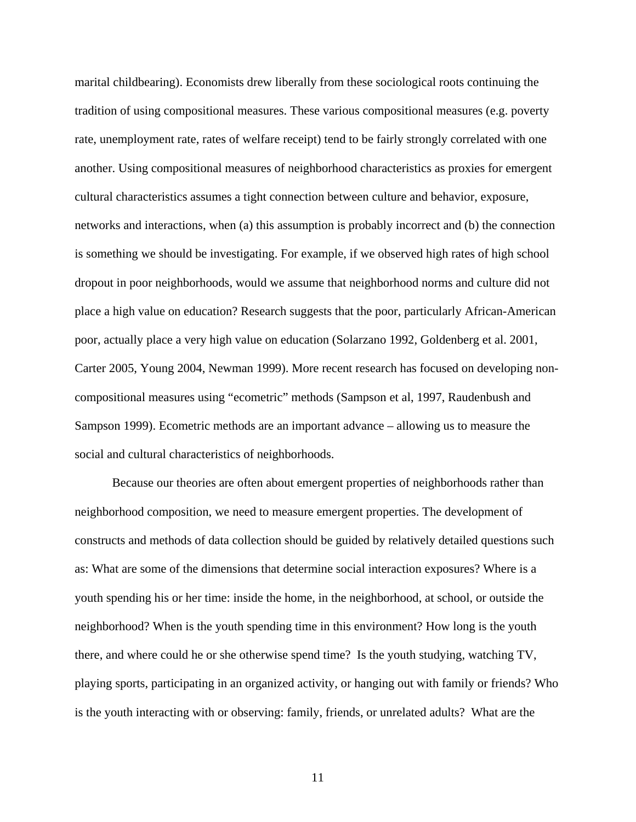marital childbearing). Economists drew liberally from these sociological roots continuing the tradition of using compositional measures. These various compositional measures (e.g. poverty rate, unemployment rate, rates of welfare receipt) tend to be fairly strongly correlated with one another. Using compositional measures of neighborhood characteristics as proxies for emergent cultural characteristics assumes a tight connection between culture and behavior, exposure, networks and interactions, when (a) this assumption is probably incorrect and (b) the connection is something we should be investigating. For example, if we observed high rates of high school dropout in poor neighborhoods, would we assume that neighborhood norms and culture did not place a high value on education? Research suggests that the poor, particularly African-American poor, actually place a very high value on education (Solarzano 1992, Goldenberg et al. 2001, Carter 2005, Young 2004, Newman 1999). More recent research has focused on developing noncompositional measures using "ecometric" methods (Sampson et al, 1997, Raudenbush and Sampson 1999). Ecometric methods are an important advance – allowing us to measure the social and cultural characteristics of neighborhoods.

Because our theories are often about emergent properties of neighborhoods rather than neighborhood composition, we need to measure emergent properties. The development of constructs and methods of data collection should be guided by relatively detailed questions such as: What are some of the dimensions that determine social interaction exposures? Where is a youth spending his or her time: inside the home, in the neighborhood, at school, or outside the neighborhood? When is the youth spending time in this environment? How long is the youth there, and where could he or she otherwise spend time? Is the youth studying, watching TV, playing sports, participating in an organized activity, or hanging out with family or friends? Who is the youth interacting with or observing: family, friends, or unrelated adults? What are the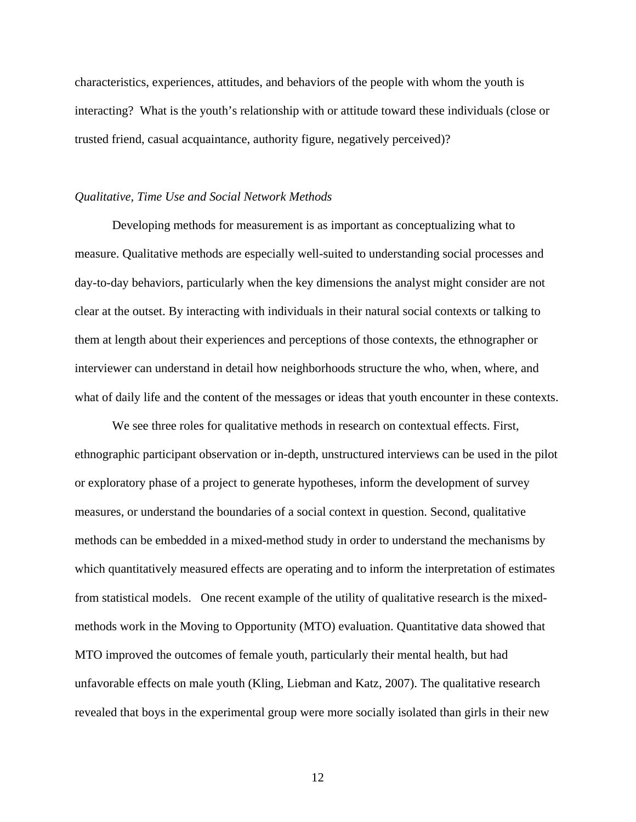characteristics, experiences, attitudes, and behaviors of the people with whom the youth is interacting? What is the youth's relationship with or attitude toward these individuals (close or trusted friend, casual acquaintance, authority figure, negatively perceived)?

## *Qualitative, Time Use and Social Network Methods*

Developing methods for measurement is as important as conceptualizing what to measure. Qualitative methods are especially well-suited to understanding social processes and day-to-day behaviors, particularly when the key dimensions the analyst might consider are not clear at the outset. By interacting with individuals in their natural social contexts or talking to them at length about their experiences and perceptions of those contexts, the ethnographer or interviewer can understand in detail how neighborhoods structure the who, when, where, and what of daily life and the content of the messages or ideas that youth encounter in these contexts.

We see three roles for qualitative methods in research on contextual effects. First, ethnographic participant observation or in-depth, unstructured interviews can be used in the pilot or exploratory phase of a project to generate hypotheses, inform the development of survey measures, or understand the boundaries of a social context in question. Second, qualitative methods can be embedded in a mixed-method study in order to understand the mechanisms by which quantitatively measured effects are operating and to inform the interpretation of estimates from statistical models. One recent example of the utility of qualitative research is the mixedmethods work in the Moving to Opportunity (MTO) evaluation. Quantitative data showed that MTO improved the outcomes of female youth, particularly their mental health, but had unfavorable effects on male youth (Kling, Liebman and Katz, 2007). The qualitative research revealed that boys in the experimental group were more socially isolated than girls in their new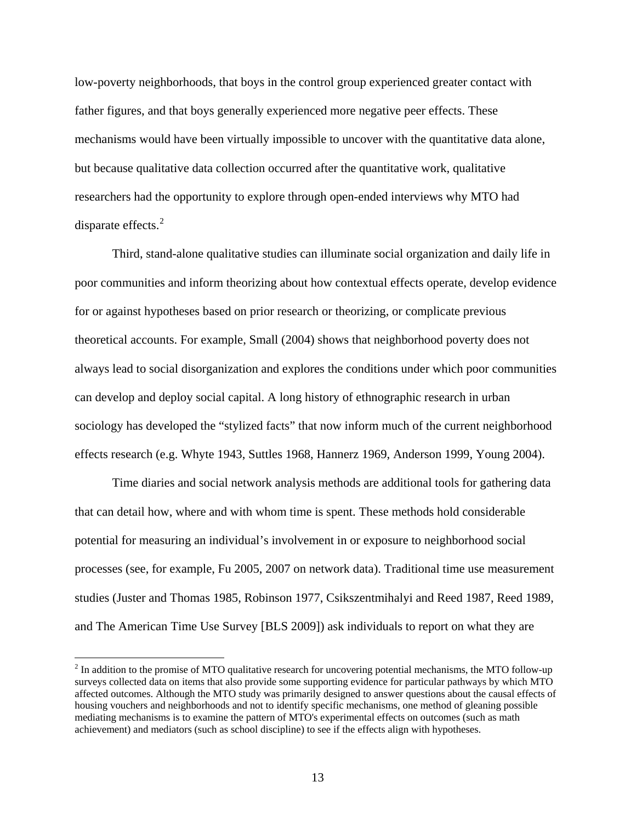low-poverty neighborhoods, that boys in the control group experienced greater contact with father figures, and that boys generally experienced more negative peer effects. These mechanisms would have been virtually impossible to uncover with the quantitative data alone, but because qualitative data collection occurred after the quantitative work, qualitative researchers had the opportunity to explore through open-ended interviews why MTO had disparate effects.<sup>[2](#page-15-0)</sup>

Third, stand-alone qualitative studies can illuminate social organization and daily life in poor communities and inform theorizing about how contextual effects operate, develop evidence for or against hypotheses based on prior research or theorizing, or complicate previous theoretical accounts. For example, Small (2004) shows that neighborhood poverty does not always lead to social disorganization and explores the conditions under which poor communities can develop and deploy social capital. A long history of ethnographic research in urban sociology has developed the "stylized facts" that now inform much of the current neighborhood effects research (e.g. Whyte 1943, Suttles 1968, Hannerz 1969, Anderson 1999, Young 2004).

Time diaries and social network analysis methods are additional tools for gathering data that can detail how, where and with whom time is spent. These methods hold considerable potential for measuring an individual's involvement in or exposure to neighborhood social processes (see, for example, Fu 2005, 2007 on network data). Traditional time use measurement studies (Juster and Thomas 1985, Robinson 1977, Csikszentmihalyi and Reed 1987, Reed 1989, and The American Time Use Survey [BLS 2009]) ask individuals to report on what they are

 $\overline{a}$ 

<span id="page-15-0"></span> $2<sup>2</sup>$  In addition to the promise of MTO qualitative research for uncovering potential mechanisms, the MTO follow-up surveys collected data on items that also provide some supporting evidence for particular pathways by which MTO affected outcomes. Although the MTO study was primarily designed to answer questions about the causal effects of housing vouchers and neighborhoods and not to identify specific mechanisms, one method of gleaning possible mediating mechanisms is to examine the pattern of MTO's experimental effects on outcomes (such as math achievement) and mediators (such as school discipline) to see if the effects align with hypotheses.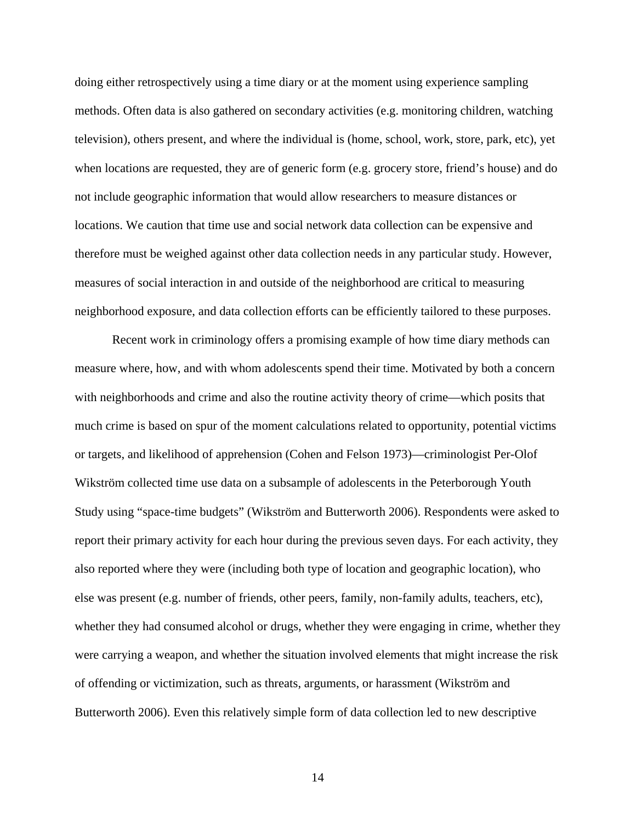doing either retrospectively using a time diary or at the moment using experience sampling methods. Often data is also gathered on secondary activities (e.g. monitoring children, watching television), others present, and where the individual is (home, school, work, store, park, etc), yet when locations are requested, they are of generic form (e.g. grocery store, friend's house) and do not include geographic information that would allow researchers to measure distances or locations. We caution that time use and social network data collection can be expensive and therefore must be weighed against other data collection needs in any particular study. However, measures of social interaction in and outside of the neighborhood are critical to measuring neighborhood exposure, and data collection efforts can be efficiently tailored to these purposes.

Recent work in criminology offers a promising example of how time diary methods can measure where, how, and with whom adolescents spend their time. Motivated by both a concern with neighborhoods and crime and also the routine activity theory of crime—which posits that much crime is based on spur of the moment calculations related to opportunity, potential victims or targets, and likelihood of apprehension (Cohen and Felson 1973)—criminologist Per-Olof Wikström collected time use data on a subsample of adolescents in the Peterborough Youth Study using "space-time budgets" (Wikström and Butterworth 2006). Respondents were asked to report their primary activity for each hour during the previous seven days. For each activity, they also reported where they were (including both type of location and geographic location), who else was present (e.g. number of friends, other peers, family, non-family adults, teachers, etc), whether they had consumed alcohol or drugs, whether they were engaging in crime, whether they were carrying a weapon, and whether the situation involved elements that might increase the risk of offending or victimization, such as threats, arguments, or harassment (Wikström and Butterworth 2006). Even this relatively simple form of data collection led to new descriptive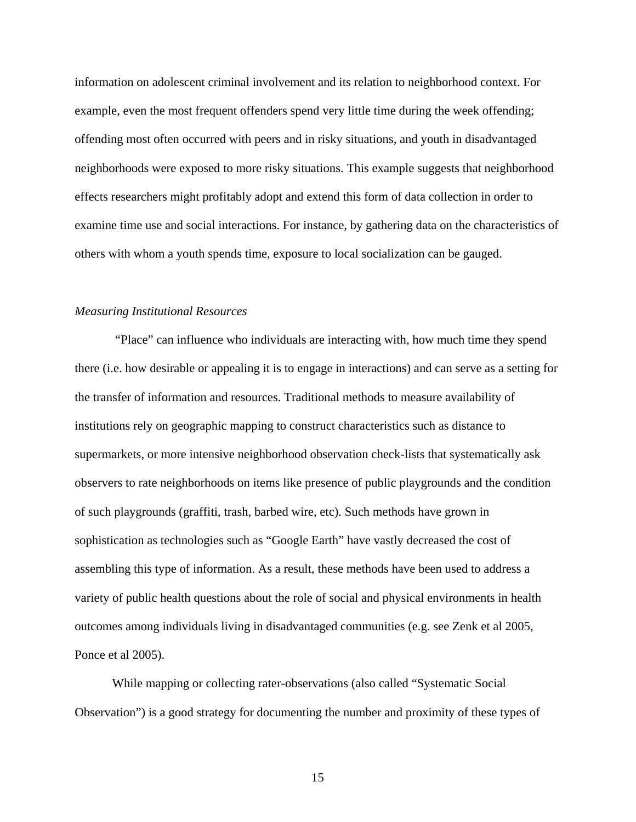information on adolescent criminal involvement and its relation to neighborhood context. For example, even the most frequent offenders spend very little time during the week offending; offending most often occurred with peers and in risky situations, and youth in disadvantaged neighborhoods were exposed to more risky situations. This example suggests that neighborhood effects researchers might profitably adopt and extend this form of data collection in order to examine time use and social interactions. For instance, by gathering data on the characteristics of others with whom a youth spends time, exposure to local socialization can be gauged.

#### *Measuring Institutional Resources*

 "Place" can influence who individuals are interacting with, how much time they spend there (i.e. how desirable or appealing it is to engage in interactions) and can serve as a setting for the transfer of information and resources. Traditional methods to measure availability of institutions rely on geographic mapping to construct characteristics such as distance to supermarkets, or more intensive neighborhood observation check-lists that systematically ask observers to rate neighborhoods on items like presence of public playgrounds and the condition of such playgrounds (graffiti, trash, barbed wire, etc). Such methods have grown in sophistication as technologies such as "Google Earth" have vastly decreased the cost of assembling this type of information. As a result, these methods have been used to address a variety of public health questions about the role of social and physical environments in health outcomes among individuals living in disadvantaged communities (e.g. see Zenk et al 2005, Ponce et al 2005).

While mapping or collecting rater-observations (also called "Systematic Social Observation") is a good strategy for documenting the number and proximity of these types of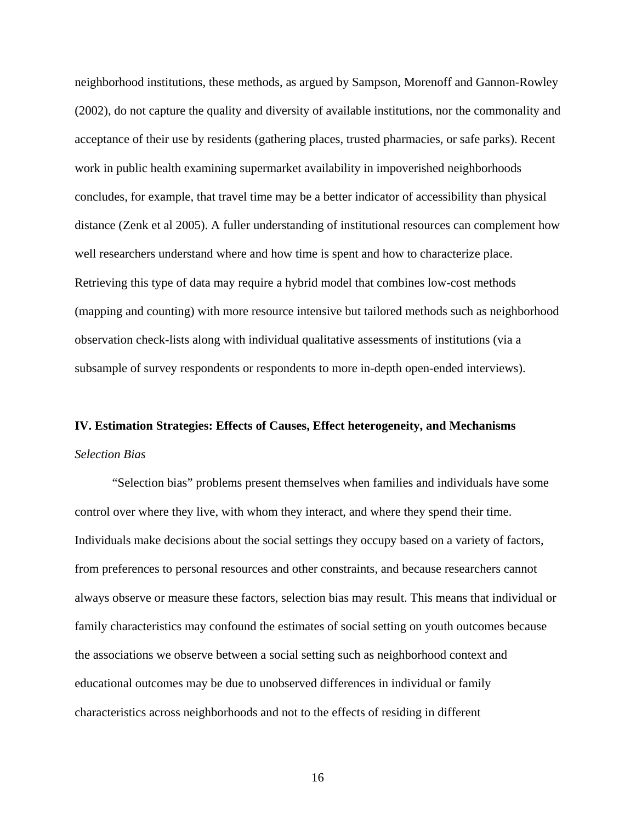neighborhood institutions, these methods, as argued by Sampson, Morenoff and Gannon-Rowley (2002), do not capture the quality and diversity of available institutions, nor the commonality and acceptance of their use by residents (gathering places, trusted pharmacies, or safe parks). Recent work in public health examining supermarket availability in impoverished neighborhoods concludes, for example, that travel time may be a better indicator of accessibility than physical distance (Zenk et al 2005). A fuller understanding of institutional resources can complement how well researchers understand where and how time is spent and how to characterize place. Retrieving this type of data may require a hybrid model that combines low-cost methods (mapping and counting) with more resource intensive but tailored methods such as neighborhood observation check-lists along with individual qualitative assessments of institutions (via a subsample of survey respondents or respondents to more in-depth open-ended interviews).

# **IV. Estimation Strategies: Effects of Causes, Effect heterogeneity, and Mechanisms**  *Selection Bias*

 "Selection bias" problems present themselves when families and individuals have some control over where they live, with whom they interact, and where they spend their time. Individuals make decisions about the social settings they occupy based on a variety of factors, from preferences to personal resources and other constraints, and because researchers cannot always observe or measure these factors, selection bias may result. This means that individual or family characteristics may confound the estimates of social setting on youth outcomes because the associations we observe between a social setting such as neighborhood context and educational outcomes may be due to unobserved differences in individual or family characteristics across neighborhoods and not to the effects of residing in different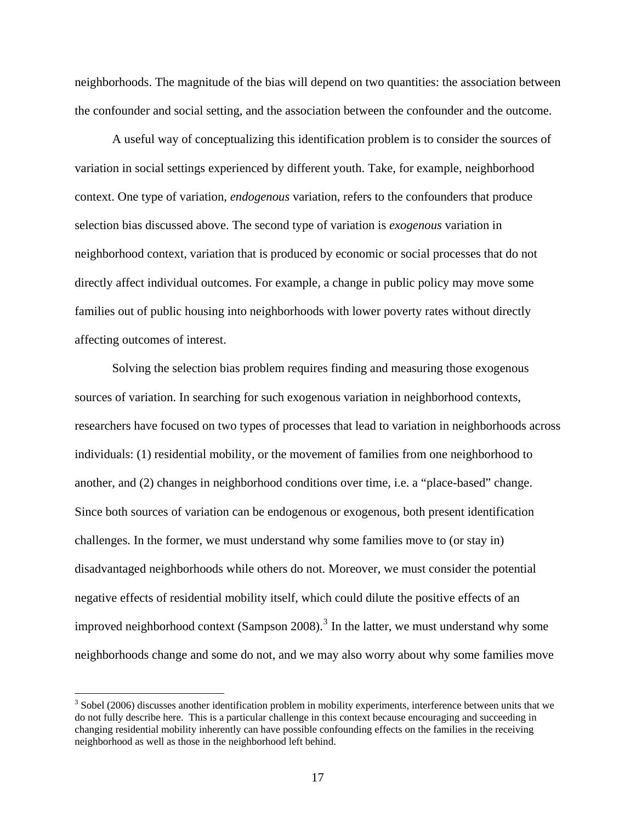neighborhoods. The magnitude of the bias will depend on two quantities: the association between the confounder and social setting, and the association between the confounder and the outcome.

 A useful way of conceptualizing this identification problem is to consider the sources of variation in social settings experienced by different youth. Take, for example, neighborhood context. One type of variation, *endogenous* variation, refers to the confounders that produce selection bias discussed above. The second type of variation is *exogenous* variation in neighborhood context, variation that is produced by economic or social processes that do not directly affect individual outcomes. For example, a change in public policy may move some families out of public housing into neighborhoods with lower poverty rates without directly affecting outcomes of interest.

 Solving the selection bias problem requires finding and measuring those exogenous sources of variation. In searching for such exogenous variation in neighborhood contexts, researchers have focused on two types of processes that lead to variation in neighborhoods across individuals: (1) residential mobility, or the movement of families from one neighborhood to another, and (2) changes in neighborhood conditions over time, i.e. a "place-based" change. Since both sources of variation can be endogenous or exogenous, both present identification challenges. In the former, we must understand why some families move to (or stay in) disadvantaged neighborhoods while others do not. Moreover, we must consider the potential negative effects of residential mobility itself, which could dilute the positive effects of an improved neighborhood context (Sampson 2008).<sup>[3](#page-19-0)</sup> In the latter, we must understand why some neighborhoods change and some do not, and we may also worry about why some families move

 $\overline{a}$ 

<span id="page-19-0"></span> $3$  Sobel (2006) discusses another identification problem in mobility experiments, interference between units that we do not fully describe here. This is a particular challenge in this context because encouraging and succeeding in changing residential mobility inherently can have possible confounding effects on the families in the receiving neighborhood as well as those in the neighborhood left behind.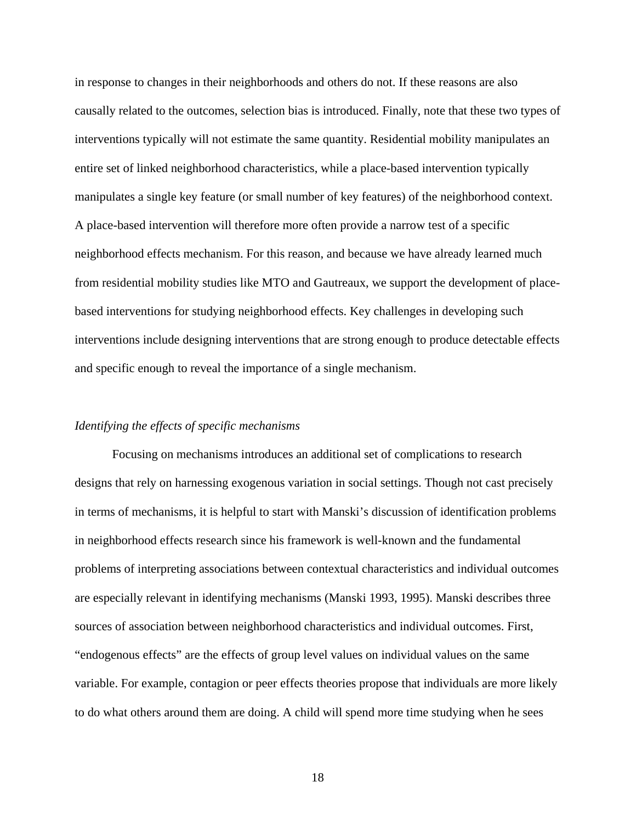in response to changes in their neighborhoods and others do not. If these reasons are also causally related to the outcomes, selection bias is introduced. Finally, note that these two types of interventions typically will not estimate the same quantity. Residential mobility manipulates an entire set of linked neighborhood characteristics, while a place-based intervention typically manipulates a single key feature (or small number of key features) of the neighborhood context. A place-based intervention will therefore more often provide a narrow test of a specific neighborhood effects mechanism. For this reason, and because we have already learned much from residential mobility studies like MTO and Gautreaux, we support the development of placebased interventions for studying neighborhood effects. Key challenges in developing such interventions include designing interventions that are strong enough to produce detectable effects and specific enough to reveal the importance of a single mechanism.

## *Identifying the effects of specific mechanisms*

 Focusing on mechanisms introduces an additional set of complications to research designs that rely on harnessing exogenous variation in social settings. Though not cast precisely in terms of mechanisms, it is helpful to start with Manski's discussion of identification problems in neighborhood effects research since his framework is well-known and the fundamental problems of interpreting associations between contextual characteristics and individual outcomes are especially relevant in identifying mechanisms (Manski 1993, 1995). Manski describes three sources of association between neighborhood characteristics and individual outcomes. First, "endogenous effects" are the effects of group level values on individual values on the same variable. For example, contagion or peer effects theories propose that individuals are more likely to do what others around them are doing. A child will spend more time studying when he sees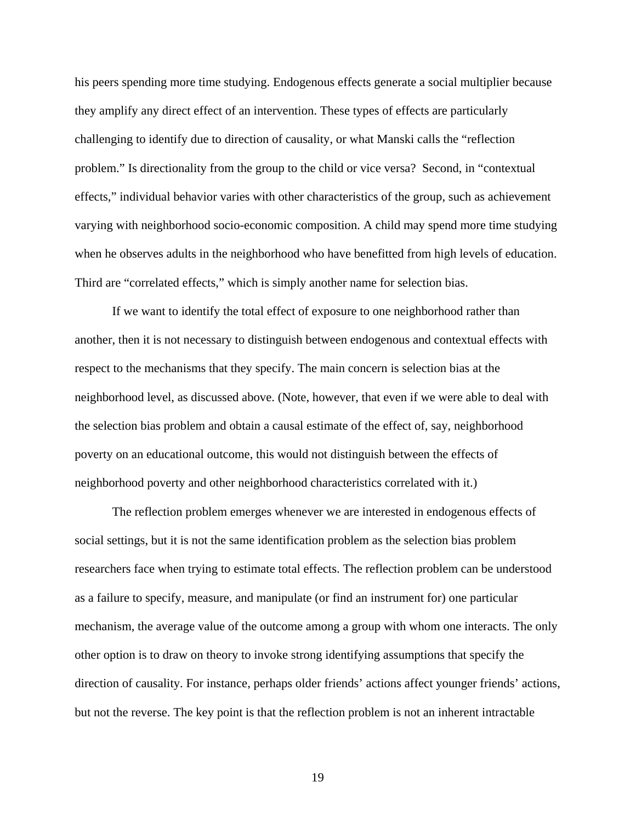his peers spending more time studying. Endogenous effects generate a social multiplier because they amplify any direct effect of an intervention. These types of effects are particularly challenging to identify due to direction of causality, or what Manski calls the "reflection problem." Is directionality from the group to the child or vice versa? Second, in "contextual effects," individual behavior varies with other characteristics of the group, such as achievement varying with neighborhood socio-economic composition. A child may spend more time studying when he observes adults in the neighborhood who have benefitted from high levels of education. Third are "correlated effects," which is simply another name for selection bias.

 If we want to identify the total effect of exposure to one neighborhood rather than another, then it is not necessary to distinguish between endogenous and contextual effects with respect to the mechanisms that they specify. The main concern is selection bias at the neighborhood level, as discussed above. (Note, however, that even if we were able to deal with the selection bias problem and obtain a causal estimate of the effect of, say, neighborhood poverty on an educational outcome, this would not distinguish between the effects of neighborhood poverty and other neighborhood characteristics correlated with it.)

 The reflection problem emerges whenever we are interested in endogenous effects of social settings, but it is not the same identification problem as the selection bias problem researchers face when trying to estimate total effects. The reflection problem can be understood as a failure to specify, measure, and manipulate (or find an instrument for) one particular mechanism, the average value of the outcome among a group with whom one interacts. The only other option is to draw on theory to invoke strong identifying assumptions that specify the direction of causality. For instance, perhaps older friends' actions affect younger friends' actions, but not the reverse. The key point is that the reflection problem is not an inherent intractable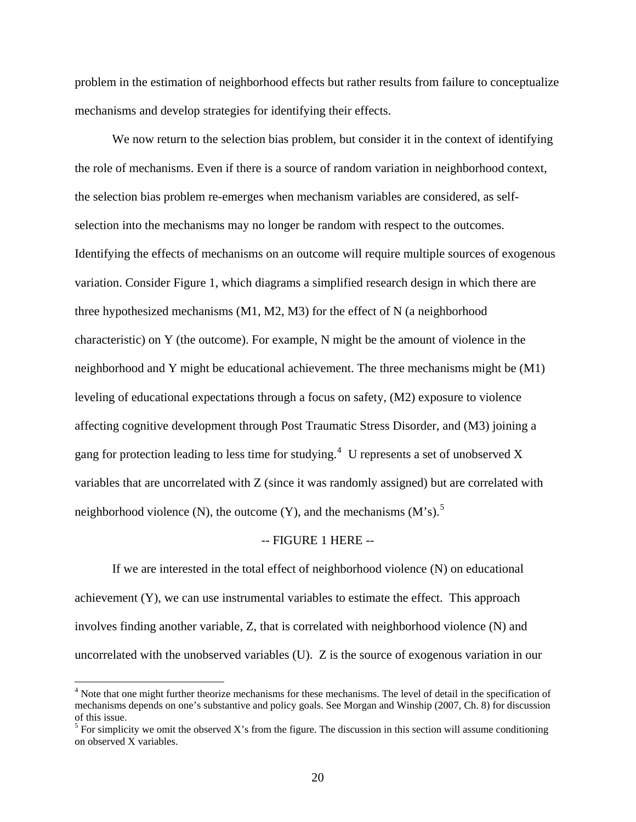problem in the estimation of neighborhood effects but rather results from failure to conceptualize mechanisms and develop strategies for identifying their effects.

We now return to the selection bias problem, but consider it in the context of identifying the role of mechanisms. Even if there is a source of random variation in neighborhood context, the selection bias problem re-emerges when mechanism variables are considered, as selfselection into the mechanisms may no longer be random with respect to the outcomes. Identifying the effects of mechanisms on an outcome will require multiple sources of exogenous variation. Consider Figure 1, which diagrams a simplified research design in which there are three hypothesized mechanisms (M1, M2, M3) for the effect of N (a neighborhood characteristic) on Y (the outcome). For example, N might be the amount of violence in the neighborhood and Y might be educational achievement. The three mechanisms might be (M1) leveling of educational expectations through a focus on safety, (M2) exposure to violence affecting cognitive development through Post Traumatic Stress Disorder, and (M3) joining a gang for protection leading to less time for studying.<sup>[4](#page-22-0)</sup> U represents a set of unobserved X variables that are uncorrelated with Z (since it was randomly assigned) but are correlated with neighborhood violence (N), the outcome (Y), and the mechanisms  $(M's)$ .<sup>[5](#page-22-1)</sup>

#### -- FIGURE 1 HERE --

 If we are interested in the total effect of neighborhood violence (N) on educational achievement (Y), we can use instrumental variables to estimate the effect. This approach involves finding another variable, Z, that is correlated with neighborhood violence (N) and uncorrelated with the unobserved variables (U). Z is the source of exogenous variation in our

 $\overline{a}$ 

<span id="page-22-0"></span><sup>&</sup>lt;sup>4</sup> Note that one might further theorize mechanisms for these mechanisms. The level of detail in the specification of mechanisms depends on one's substantive and policy goals. See Morgan and Winship (2007, Ch. 8) for discussion of this issue.

<span id="page-22-1"></span> $<sup>5</sup>$  For simplicity we omit the observed X's from the figure. The discussion in this section will assume conditioning</sup> on observed X variables.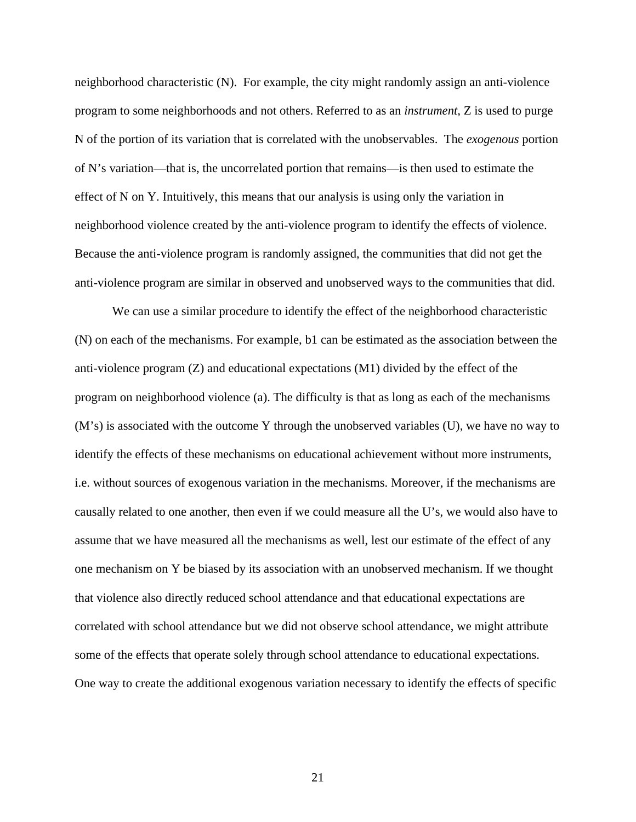neighborhood characteristic (N). For example, the city might randomly assign an anti-violence program to some neighborhoods and not others. Referred to as an *instrument,* Z is used to purge N of the portion of its variation that is correlated with the unobservables. The *exogenous* portion of N's variation—that is, the uncorrelated portion that remains—is then used to estimate the effect of N on Y. Intuitively, this means that our analysis is using only the variation in neighborhood violence created by the anti-violence program to identify the effects of violence. Because the anti-violence program is randomly assigned, the communities that did not get the anti-violence program are similar in observed and unobserved ways to the communities that did.

 We can use a similar procedure to identify the effect of the neighborhood characteristic (N) on each of the mechanisms. For example, b1 can be estimated as the association between the anti-violence program (Z) and educational expectations (M1) divided by the effect of the program on neighborhood violence (a). The difficulty is that as long as each of the mechanisms (M's) is associated with the outcome Y through the unobserved variables (U), we have no way to identify the effects of these mechanisms on educational achievement without more instruments, i.e. without sources of exogenous variation in the mechanisms. Moreover, if the mechanisms are causally related to one another, then even if we could measure all the U's, we would also have to assume that we have measured all the mechanisms as well, lest our estimate of the effect of any one mechanism on Y be biased by its association with an unobserved mechanism. If we thought that violence also directly reduced school attendance and that educational expectations are correlated with school attendance but we did not observe school attendance, we might attribute some of the effects that operate solely through school attendance to educational expectations. One way to create the additional exogenous variation necessary to identify the effects of specific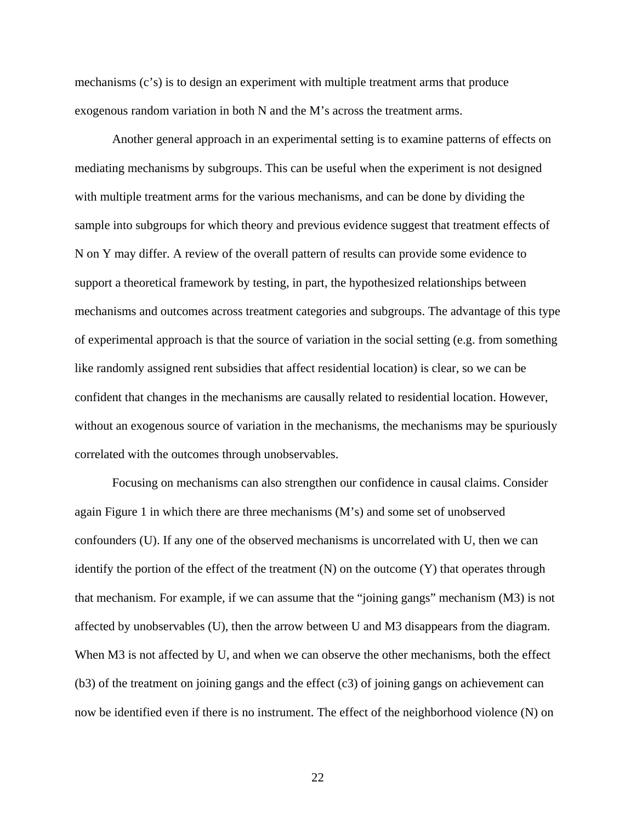mechanisms (c's) is to design an experiment with multiple treatment arms that produce exogenous random variation in both N and the M's across the treatment arms.

Another general approach in an experimental setting is to examine patterns of effects on mediating mechanisms by subgroups. This can be useful when the experiment is not designed with multiple treatment arms for the various mechanisms, and can be done by dividing the sample into subgroups for which theory and previous evidence suggest that treatment effects of N on Y may differ. A review of the overall pattern of results can provide some evidence to support a theoretical framework by testing, in part, the hypothesized relationships between mechanisms and outcomes across treatment categories and subgroups. The advantage of this type of experimental approach is that the source of variation in the social setting (e.g. from something like randomly assigned rent subsidies that affect residential location) is clear, so we can be confident that changes in the mechanisms are causally related to residential location. However, without an exogenous source of variation in the mechanisms, the mechanisms may be spuriously correlated with the outcomes through unobservables.

Focusing on mechanisms can also strengthen our confidence in causal claims. Consider again Figure 1 in which there are three mechanisms (M's) and some set of unobserved confounders (U). If any one of the observed mechanisms is uncorrelated with U, then we can identify the portion of the effect of the treatment  $(N)$  on the outcome  $(Y)$  that operates through that mechanism. For example, if we can assume that the "joining gangs" mechanism (M3) is not affected by unobservables (U), then the arrow between U and M3 disappears from the diagram. When M3 is not affected by U, and when we can observe the other mechanisms, both the effect  $(b3)$  of the treatment on joining gangs and the effect  $(c3)$  of joining gangs on achievement can now be identified even if there is no instrument. The effect of the neighborhood violence (N) on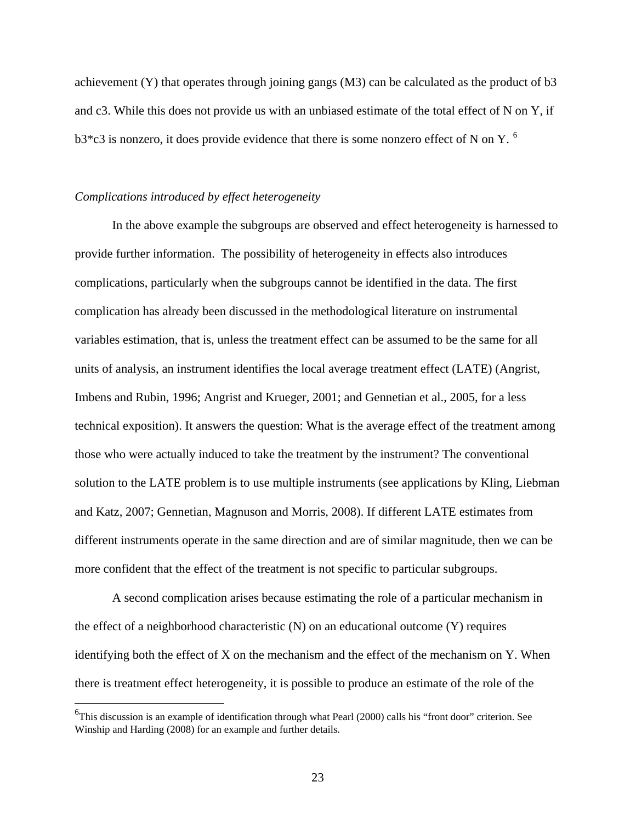achievement (Y) that operates through joining gangs (M3) can be calculated as the product of b3 and c3. While this does not provide us with an unbiased estimate of the total effect of N on Y, if  $b3*c3$  is nonzero, it does provide evidence that there is some nonzero effect of N on Y.<sup>[6](#page-25-0)</sup>

## *Complications introduced by effect heterogeneity*

1

 In the above example the subgroups are observed and effect heterogeneity is harnessed to provide further information. The possibility of heterogeneity in effects also introduces complications, particularly when the subgroups cannot be identified in the data. The first complication has already been discussed in the methodological literature on instrumental variables estimation, that is, unless the treatment effect can be assumed to be the same for all units of analysis, an instrument identifies the local average treatment effect (LATE) (Angrist, Imbens and Rubin, 1996; Angrist and Krueger, 2001; and Gennetian et al., 2005, for a less technical exposition). It answers the question: What is the average effect of the treatment among those who were actually induced to take the treatment by the instrument? The conventional solution to the LATE problem is to use multiple instruments (see applications by Kling, Liebman and Katz, 2007; Gennetian, Magnuson and Morris, 2008). If different LATE estimates from different instruments operate in the same direction and are of similar magnitude, then we can be more confident that the effect of the treatment is not specific to particular subgroups.

 A second complication arises because estimating the role of a particular mechanism in the effect of a neighborhood characteristic (N) on an educational outcome (Y) requires identifying both the effect of X on the mechanism and the effect of the mechanism on Y. When there is treatment effect heterogeneity, it is possible to produce an estimate of the role of the

<span id="page-25-0"></span><sup>&</sup>lt;sup>6</sup>This discussion is an example of identification through what Pearl (2000) calls his "front door" criterion. See Winship and Harding (2008) for an example and further details.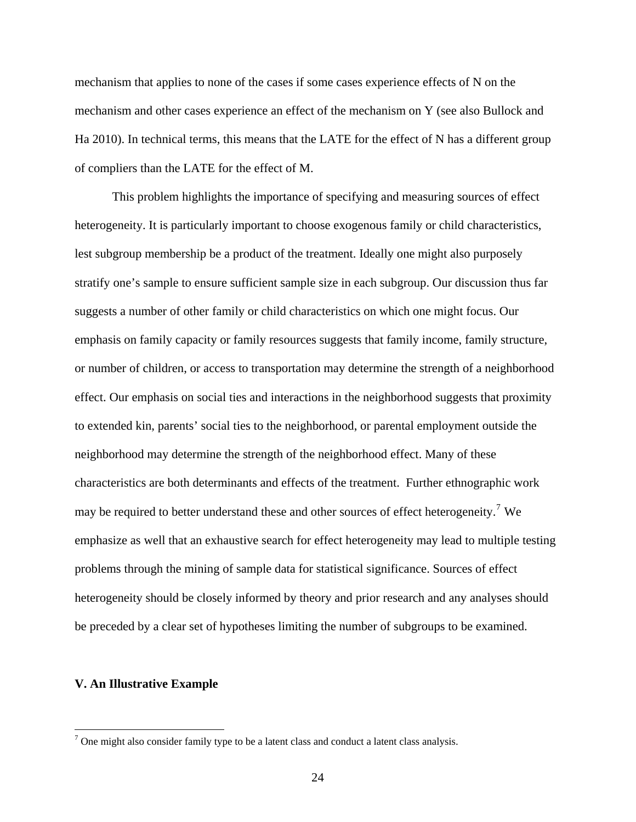mechanism that applies to none of the cases if some cases experience effects of N on the mechanism and other cases experience an effect of the mechanism on Y (see also Bullock and Ha 2010). In technical terms, this means that the LATE for the effect of N has a different group of compliers than the LATE for the effect of M.

 This problem highlights the importance of specifying and measuring sources of effect heterogeneity. It is particularly important to choose exogenous family or child characteristics, lest subgroup membership be a product of the treatment. Ideally one might also purposely stratify one's sample to ensure sufficient sample size in each subgroup. Our discussion thus far suggests a number of other family or child characteristics on which one might focus. Our emphasis on family capacity or family resources suggests that family income, family structure, or number of children, or access to transportation may determine the strength of a neighborhood effect. Our emphasis on social ties and interactions in the neighborhood suggests that proximity to extended kin, parents' social ties to the neighborhood, or parental employment outside the neighborhood may determine the strength of the neighborhood effect. Many of these characteristics are both determinants and effects of the treatment. Further ethnographic work may be required to better understand these and other sources of effect heterogeneity.<sup>[7](#page-26-0)</sup> We emphasize as well that an exhaustive search for effect heterogeneity may lead to multiple testing problems through the mining of sample data for statistical significance. Sources of effect heterogeneity should be closely informed by theory and prior research and any analyses should be preceded by a clear set of hypotheses limiting the number of subgroups to be examined.

## **V. An Illustrative Example**

<span id="page-26-0"></span> $\frac{1}{7}$  One might also consider family type to be a latent class and conduct a latent class analysis.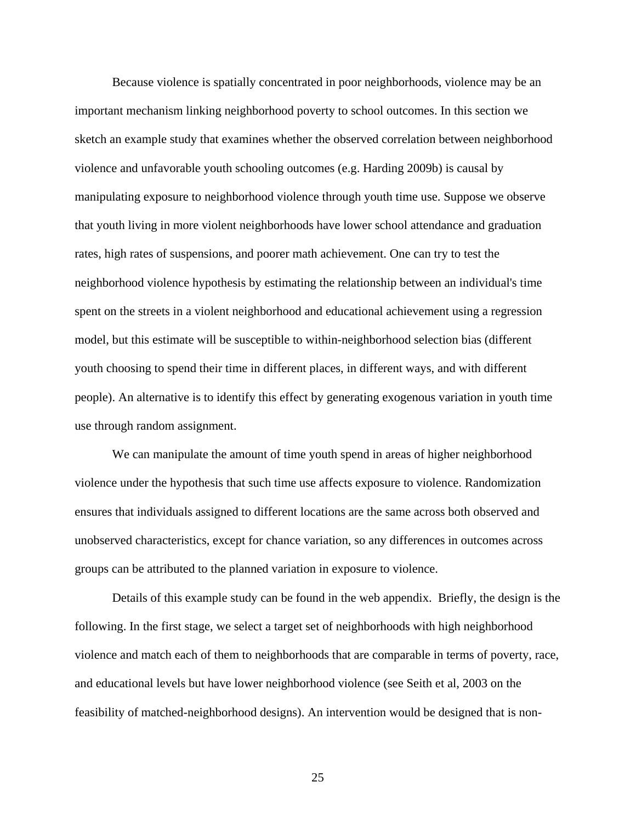Because violence is spatially concentrated in poor neighborhoods, violence may be an important mechanism linking neighborhood poverty to school outcomes. In this section we sketch an example study that examines whether the observed correlation between neighborhood violence and unfavorable youth schooling outcomes (e.g. Harding 2009b) is causal by manipulating exposure to neighborhood violence through youth time use. Suppose we observe that youth living in more violent neighborhoods have lower school attendance and graduation rates, high rates of suspensions, and poorer math achievement. One can try to test the neighborhood violence hypothesis by estimating the relationship between an individual's time spent on the streets in a violent neighborhood and educational achievement using a regression model, but this estimate will be susceptible to within-neighborhood selection bias (different youth choosing to spend their time in different places, in different ways, and with different people). An alternative is to identify this effect by generating exogenous variation in youth time use through random assignment.

We can manipulate the amount of time youth spend in areas of higher neighborhood violence under the hypothesis that such time use affects exposure to violence. Randomization ensures that individuals assigned to different locations are the same across both observed and unobserved characteristics, except for chance variation, so any differences in outcomes across groups can be attributed to the planned variation in exposure to violence.

Details of this example study can be found in the web appendix. Briefly, the design is the following. In the first stage, we select a target set of neighborhoods with high neighborhood violence and match each of them to neighborhoods that are comparable in terms of poverty, race, and educational levels but have lower neighborhood violence (see Seith et al, 2003 on the feasibility of matched-neighborhood designs). An intervention would be designed that is non-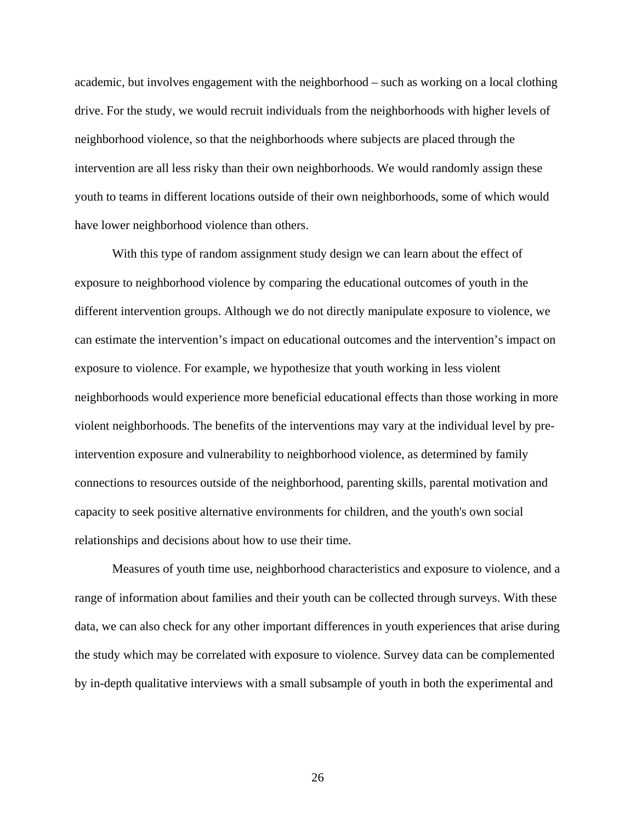academic, but involves engagement with the neighborhood – such as working on a local clothing drive. For the study, we would recruit individuals from the neighborhoods with higher levels of neighborhood violence, so that the neighborhoods where subjects are placed through the intervention are all less risky than their own neighborhoods. We would randomly assign these youth to teams in different locations outside of their own neighborhoods, some of which would have lower neighborhood violence than others.

With this type of random assignment study design we can learn about the effect of exposure to neighborhood violence by comparing the educational outcomes of youth in the different intervention groups. Although we do not directly manipulate exposure to violence, we can estimate the intervention's impact on educational outcomes and the intervention's impact on exposure to violence. For example, we hypothesize that youth working in less violent neighborhoods would experience more beneficial educational effects than those working in more violent neighborhoods. The benefits of the interventions may vary at the individual level by preintervention exposure and vulnerability to neighborhood violence, as determined by family connections to resources outside of the neighborhood, parenting skills, parental motivation and capacity to seek positive alternative environments for children, and the youth's own social relationships and decisions about how to use their time.

Measures of youth time use, neighborhood characteristics and exposure to violence, and a range of information about families and their youth can be collected through surveys. With these data, we can also check for any other important differences in youth experiences that arise during the study which may be correlated with exposure to violence. Survey data can be complemented by in-depth qualitative interviews with a small subsample of youth in both the experimental and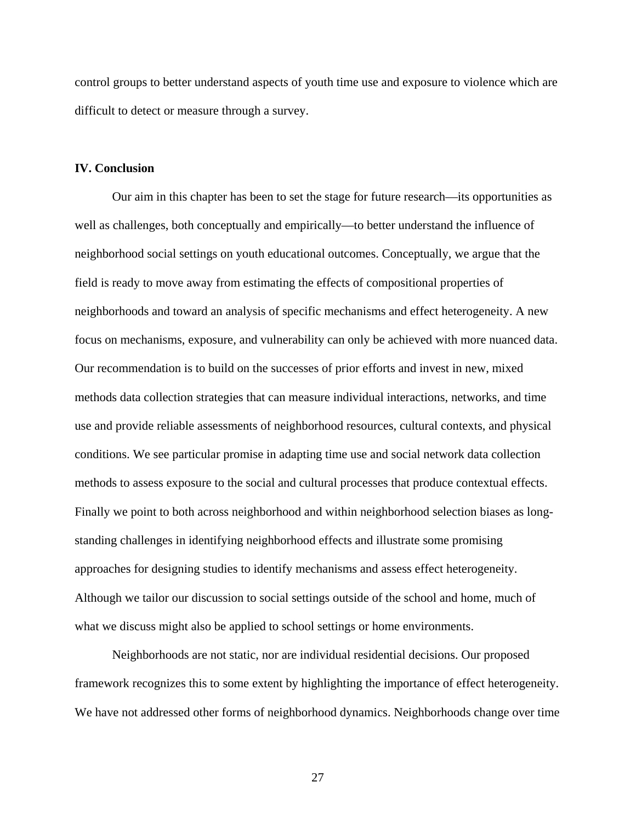control groups to better understand aspects of youth time use and exposure to violence which are difficult to detect or measure through a survey.

## **IV. Conclusion**

 Our aim in this chapter has been to set the stage for future research—its opportunities as well as challenges, both conceptually and empirically—to better understand the influence of neighborhood social settings on youth educational outcomes. Conceptually, we argue that the field is ready to move away from estimating the effects of compositional properties of neighborhoods and toward an analysis of specific mechanisms and effect heterogeneity. A new focus on mechanisms, exposure, and vulnerability can only be achieved with more nuanced data. Our recommendation is to build on the successes of prior efforts and invest in new, mixed methods data collection strategies that can measure individual interactions, networks, and time use and provide reliable assessments of neighborhood resources, cultural contexts, and physical conditions. We see particular promise in adapting time use and social network data collection methods to assess exposure to the social and cultural processes that produce contextual effects. Finally we point to both across neighborhood and within neighborhood selection biases as longstanding challenges in identifying neighborhood effects and illustrate some promising approaches for designing studies to identify mechanisms and assess effect heterogeneity. Although we tailor our discussion to social settings outside of the school and home, much of what we discuss might also be applied to school settings or home environments.

Neighborhoods are not static, nor are individual residential decisions. Our proposed framework recognizes this to some extent by highlighting the importance of effect heterogeneity. We have not addressed other forms of neighborhood dynamics. Neighborhoods change over time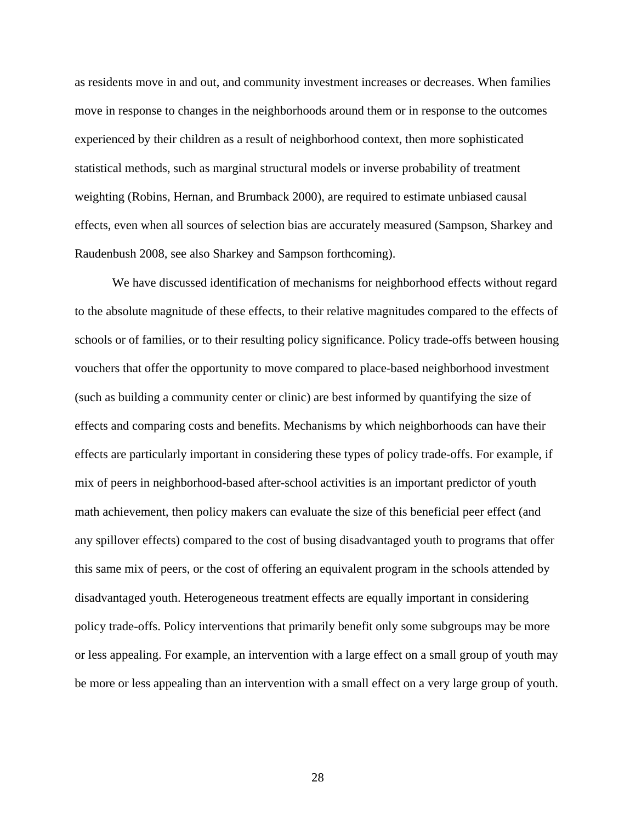as residents move in and out, and community investment increases or decreases. When families move in response to changes in the neighborhoods around them or in response to the outcomes experienced by their children as a result of neighborhood context, then more sophisticated statistical methods, such as marginal structural models or inverse probability of treatment weighting (Robins, Hernan, and Brumback 2000), are required to estimate unbiased causal effects, even when all sources of selection bias are accurately measured (Sampson, Sharkey and Raudenbush 2008, see also Sharkey and Sampson forthcoming).

 We have discussed identification of mechanisms for neighborhood effects without regard to the absolute magnitude of these effects, to their relative magnitudes compared to the effects of schools or of families, or to their resulting policy significance. Policy trade-offs between housing vouchers that offer the opportunity to move compared to place-based neighborhood investment (such as building a community center or clinic) are best informed by quantifying the size of effects and comparing costs and benefits. Mechanisms by which neighborhoods can have their effects are particularly important in considering these types of policy trade-offs. For example, if mix of peers in neighborhood-based after-school activities is an important predictor of youth math achievement, then policy makers can evaluate the size of this beneficial peer effect (and any spillover effects) compared to the cost of busing disadvantaged youth to programs that offer this same mix of peers, or the cost of offering an equivalent program in the schools attended by disadvantaged youth. Heterogeneous treatment effects are equally important in considering policy trade-offs. Policy interventions that primarily benefit only some subgroups may be more or less appealing. For example, an intervention with a large effect on a small group of youth may be more or less appealing than an intervention with a small effect on a very large group of youth.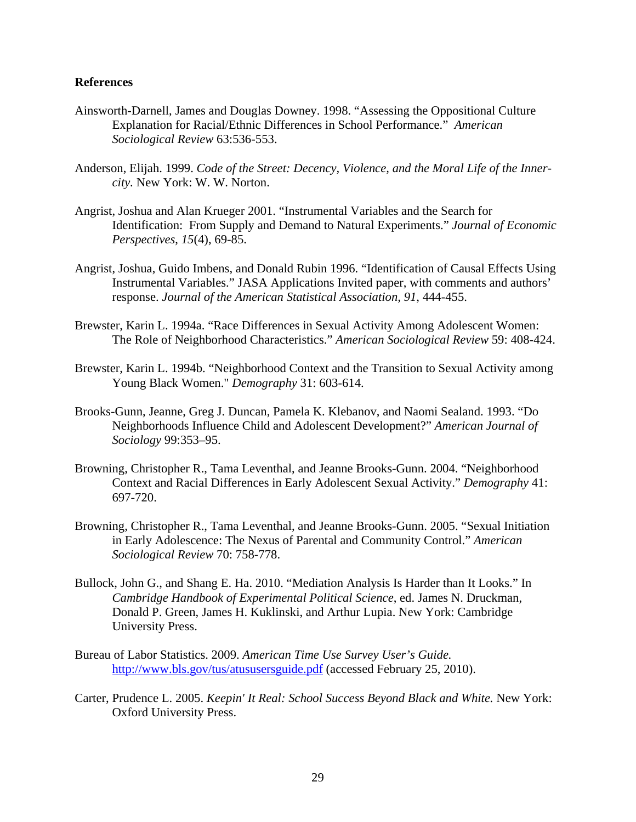## **References**

- Ainsworth-Darnell, James and Douglas Downey. 1998. "Assessing the Oppositional Culture Explanation for Racial/Ethnic Differences in School Performance." *American Sociological Review* 63:536-553.
- Anderson, Elijah. 1999. *Code of the Street: Decency, Violence, and the Moral Life of the Innercity.* New York: W. W. Norton.
- Angrist, Joshua and Alan Krueger 2001. "Instrumental Variables and the Search for Identification: From Supply and Demand to Natural Experiments." *Journal of Economic Perspectives*, *15*(4), 69-85.
- Angrist, Joshua, Guido Imbens, and Donald Rubin 1996. "Identification of Causal Effects Using Instrumental Variables." JASA Applications Invited paper, with comments and authors' response. *Journal of the American Statistical Association, 91*, 444-455.
- Brewster, Karin L. 1994a. "Race Differences in Sexual Activity Among Adolescent Women: The Role of Neighborhood Characteristics." *American Sociological Review* 59: 408-424.
- Brewster, Karin L. 1994b. "Neighborhood Context and the Transition to Sexual Activity among Young Black Women." *Demography* 31: 603-614.
- Brooks-Gunn, Jeanne, Greg J. Duncan, Pamela K. Klebanov, and Naomi Sealand. 1993. "Do Neighborhoods Influence Child and Adolescent Development?" *American Journal of Sociology* 99:353–95.
- Browning, Christopher R., Tama Leventhal, and Jeanne Brooks-Gunn. 2004. "Neighborhood Context and Racial Differences in Early Adolescent Sexual Activity." *Demography* 41: 697-720.
- Browning, Christopher R., Tama Leventhal, and Jeanne Brooks-Gunn. 2005. "Sexual Initiation in Early Adolescence: The Nexus of Parental and Community Control." *American Sociological Review* 70: 758-778.
- Bullock, John G., and Shang E. Ha. 2010. "Mediation Analysis Is Harder than It Looks." In *Cambridge Handbook of Experimental Political Science*, ed. James N. Druckman, Donald P. Green, James H. Kuklinski, and Arthur Lupia. New York: Cambridge University Press.
- Bureau of Labor Statistics. 2009. *American Time Use Survey User's Guide.* <http://www.bls.gov/tus/atususersguide.pdf>(accessed February 25, 2010).
- Carter, Prudence L. 2005. *Keepin' It Real: School Success Beyond Black and White.* New York: Oxford University Press.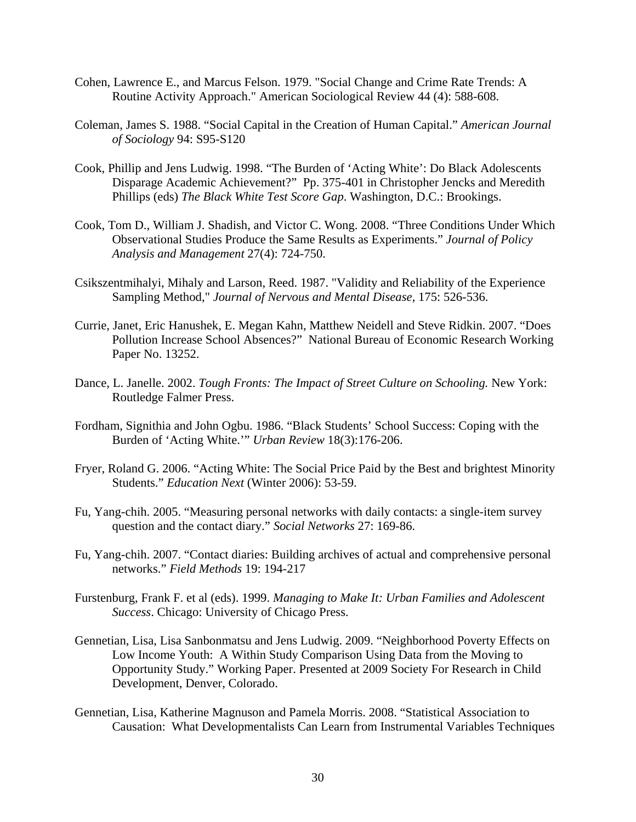- Cohen, Lawrence E., and Marcus Felson. 1979. "Social Change and Crime Rate Trends: A Routine Activity Approach." American Sociological Review 44 (4): 588-608.
- Coleman, James S. 1988. "Social Capital in the Creation of Human Capital." *American Journal of Sociology* 94: S95-S120
- Cook, Phillip and Jens Ludwig. 1998. "The Burden of 'Acting White': Do Black Adolescents Disparage Academic Achievement?" Pp. 375-401 in Christopher Jencks and Meredith Phillips (eds) *The Black White Test Score Gap*. Washington, D.C.: Brookings.
- Cook, Tom D., William J. Shadish, and Victor C. Wong. 2008. "Three Conditions Under Which Observational Studies Produce the Same Results as Experiments." *Journal of Policy Analysis and Management* 27(4): 724-750.
- Csikszentmihalyi, Mihaly and Larson, Reed. 1987. "Validity and Reliability of the Experience Sampling Method," *Journal of Nervous and Mental Disease*, 175: 526-536.
- Currie, Janet, Eric Hanushek, E. Megan Kahn, Matthew Neidell and Steve Ridkin. 2007. "Does Pollution Increase School Absences?" National Bureau of Economic Research Working Paper No. 13252.
- Dance, L. Janelle. 2002. *Tough Fronts: The Impact of Street Culture on Schooling.* New York: Routledge Falmer Press.
- Fordham, Signithia and John Ogbu. 1986. "Black Students' School Success: Coping with the Burden of 'Acting White.'" *Urban Review* 18(3):176-206.
- Fryer, Roland G. 2006. "Acting White: The Social Price Paid by the Best and brightest Minority Students." *Education Next* (Winter 2006): 53-59.
- Fu, Yang-chih. 2005. "Measuring personal networks with daily contacts: a single-item survey question and the contact diary." *Social Networks* 27: 169-86.
- Fu, Yang-chih. 2007. "Contact diaries: Building archives of actual and comprehensive personal networks." *Field Methods* 19: 194-217
- Furstenburg, Frank F. et al (eds). 1999. *Managing to Make It: Urban Families and Adolescent Success*. Chicago: University of Chicago Press.
- Gennetian, Lisa, Lisa Sanbonmatsu and Jens Ludwig. 2009. "Neighborhood Poverty Effects on Low Income Youth: A Within Study Comparison Using Data from the Moving to Opportunity Study." Working Paper. Presented at 2009 Society For Research in Child Development, Denver, Colorado.
- Gennetian, Lisa, Katherine Magnuson and Pamela Morris. 2008. "Statistical Association to Causation: What Developmentalists Can Learn from Instrumental Variables Techniques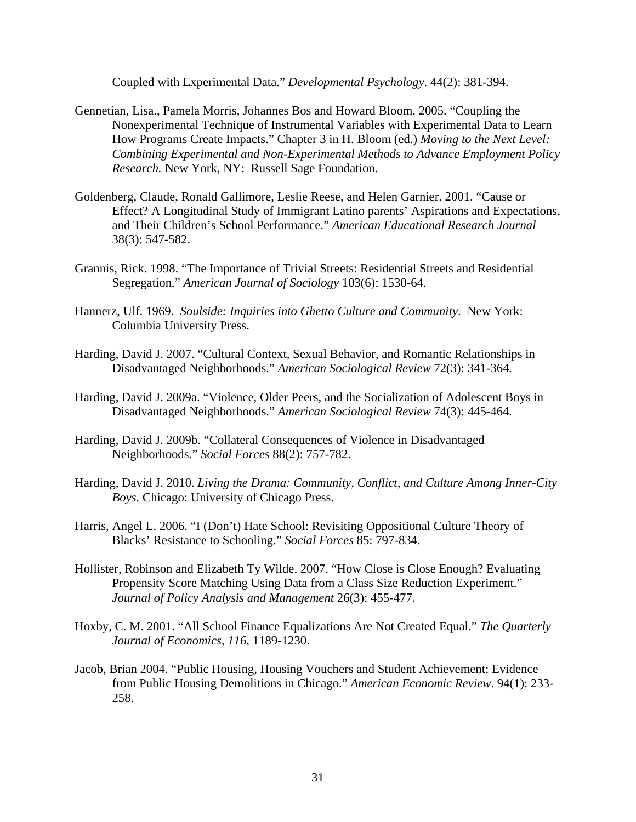Coupled with Experimental Data." *Developmental Psychology*. 44(2): 381-394.

- Gennetian, Lisa., Pamela Morris, Johannes Bos and Howard Bloom. 2005. "Coupling the Nonexperimental Technique of Instrumental Variables with Experimental Data to Learn How Programs Create Impacts." Chapter 3 in H. Bloom (ed.) *Moving to the Next Level: Combining Experimental and Non-Experimental Methods to Advance Employment Policy Research.* New York, NY: Russell Sage Foundation.
- Goldenberg, Claude, Ronald Gallimore, Leslie Reese, and Helen Garnier. 2001. "Cause or Effect? A Longitudinal Study of Immigrant Latino parents' Aspirations and Expectations, and Their Children's School Performance." *American Educational Research Journal* 38(3): 547-582.
- Grannis, Rick. 1998. "The Importance of Trivial Streets: Residential Streets and Residential Segregation." *American Journal of Sociology* 103(6): 1530-64.
- Hannerz, Ulf. 1969. *Soulside: Inquiries into Ghetto Culture and Community*. New York: Columbia University Press.
- Harding, David J. 2007. "Cultural Context, Sexual Behavior, and Romantic Relationships in Disadvantaged Neighborhoods." *American Sociological Review* 72(3): 341-364*.*
- Harding, David J. 2009a. "Violence, Older Peers, and the Socialization of Adolescent Boys in Disadvantaged Neighborhoods." *American Sociological Review* 74(3): 445-464*.*
- Harding, David J. 2009b. "Collateral Consequences of Violence in Disadvantaged Neighborhoods." *Social Forces* 88(2): 757-782.
- Harding, David J. 2010. *Living the Drama: Community, Conflict, and Culture Among Inner-City Boys.* Chicago: University of Chicago Press.
- Harris, Angel L. 2006. "I (Don't) Hate School: Revisiting Oppositional Culture Theory of Blacks' Resistance to Schooling." *Social Forces* 85: 797-834.
- Hollister, Robinson and Elizabeth Ty Wilde. 2007. "How Close is Close Enough? Evaluating Propensity Score Matching Using Data from a Class Size Reduction Experiment." *Journal of Policy Analysis and Management* 26(3): 455-477.
- Hoxby, C. M. 2001. "All School Finance Equalizations Are Not Created Equal." *The Quarterly Journal of Economics, 116*, 1189-1230.
- Jacob, Brian 2004. "Public Housing, Housing Vouchers and Student Achievement: Evidence from Public Housing Demolitions in Chicago." *American Economic Review*. 94(1): 233- 258.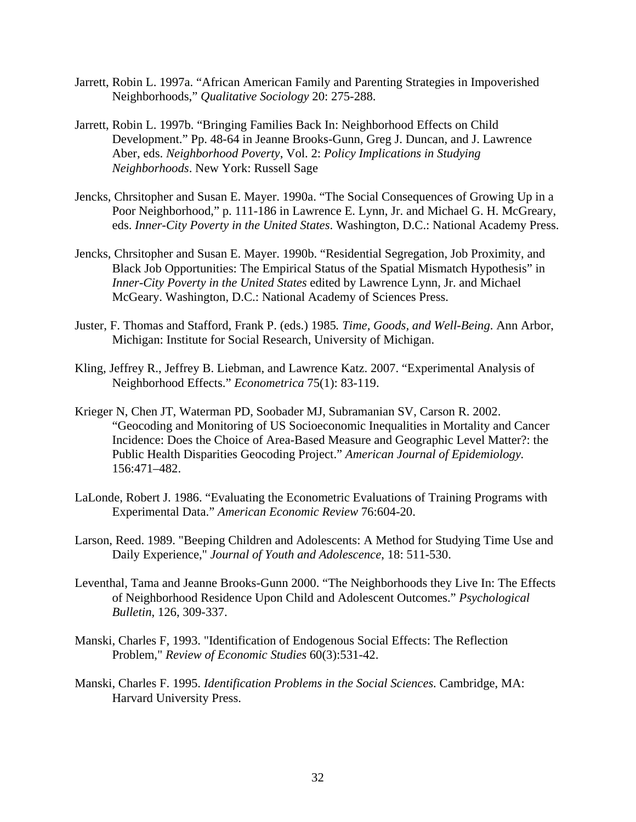- Jarrett, Robin L. 1997a. "African American Family and Parenting Strategies in Impoverished Neighborhoods," *Qualitative Sociology* 20: 275-288.
- Jarrett, Robin L. 1997b. "Bringing Families Back In: Neighborhood Effects on Child Development." Pp. 48-64 in Jeanne Brooks-Gunn, Greg J. Duncan, and J. Lawrence Aber, eds. *Neighborhood Poverty*, Vol. 2: *Policy Implications in Studying Neighborhoods*. New York: Russell Sage
- Jencks, Chrsitopher and Susan E. Mayer. 1990a. "The Social Consequences of Growing Up in a Poor Neighborhood," p. 111-186 in Lawrence E. Lynn, Jr. and Michael G. H. McGreary, eds. *Inner-City Poverty in the United States*. Washington, D.C.: National Academy Press.
- Jencks, Chrsitopher and Susan E. Mayer. 1990b. "Residential Segregation, Job Proximity, and Black Job Opportunities: The Empirical Status of the Spatial Mismatch Hypothesis" in *Inner-City Poverty in the United States* edited by Lawrence Lynn, Jr. and Michael McGeary. Washington, D.C.: National Academy of Sciences Press.
- Juster, F. Thomas and Stafford, Frank P. (eds.) 1985*. Time, Goods, and Well-Being*. Ann Arbor, Michigan: Institute for Social Research, University of Michigan.
- Kling, Jeffrey R., Jeffrey B. Liebman, and Lawrence Katz. 2007. "Experimental Analysis of Neighborhood Effects." *Econometrica* 75(1): 83-119.
- Krieger N, Chen JT, Waterman PD, Soobader MJ, Subramanian SV, Carson R. 2002. "Geocoding and Monitoring of US Socioeconomic Inequalities in Mortality and Cancer Incidence: Does the Choice of Area-Based Measure and Geographic Level Matter?: the Public Health Disparities Geocoding Project." *American Journal of Epidemiology.* 156:471–482.
- LaLonde, Robert J. 1986. "Evaluating the Econometric Evaluations of Training Programs with Experimental Data." *American Economic Review* 76:604-20.
- Larson, Reed. 1989. "Beeping Children and Adolescents: A Method for Studying Time Use and Daily Experience," *Journal of Youth and Adolescence*, 18: 511-530.
- Leventhal, Tama and Jeanne Brooks-Gunn 2000. "The Neighborhoods they Live In: The Effects of Neighborhood Residence Upon Child and Adolescent Outcomes." *Psychological Bulletin*, 126, 309-337.
- Manski, Charles F, 1993. "Identification of Endogenous Social Effects: The Reflection Problem," *Review of Economic Studies* 60(3):531-42.
- Manski, Charles F. 1995. *Identification Problems in the Social Sciences.* Cambridge, MA: Harvard University Press.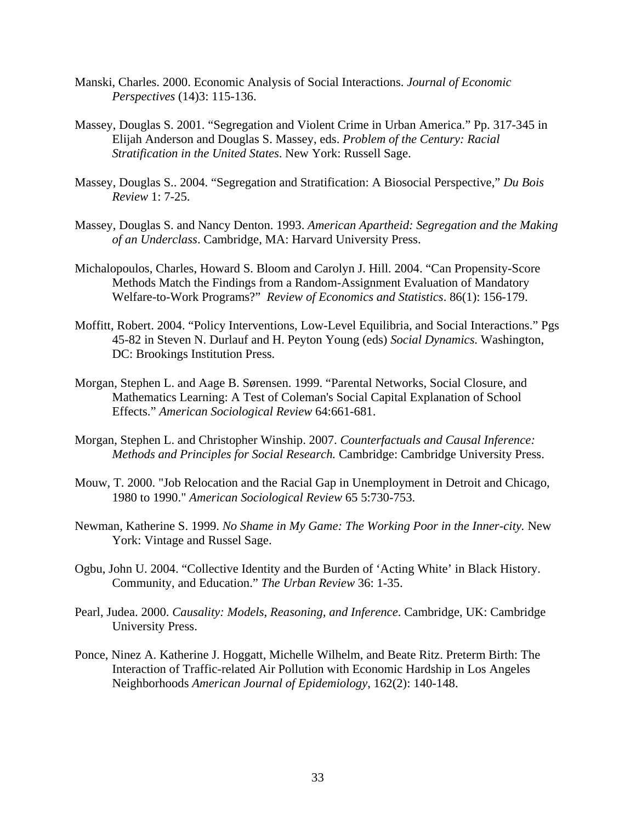- Manski, Charles. 2000. Economic Analysis of Social Interactions. *Journal of Economic Perspectives* (14)3: 115-136.
- Massey, Douglas S. 2001. "Segregation and Violent Crime in Urban America." Pp. 317-345 in Elijah Anderson and Douglas S. Massey, eds. *Problem of the Century: Racial Stratification in the United States*. New York: Russell Sage.
- Massey, Douglas S.. 2004. "Segregation and Stratification: A Biosocial Perspective," *Du Bois Review* 1: 7-25.
- Massey, Douglas S. and Nancy Denton. 1993. *American Apartheid: Segregation and the Making of an Underclass*. Cambridge, MA: Harvard University Press.
- Michalopoulos, Charles, Howard S. Bloom and Carolyn J. Hill. 2004. "Can Propensity-Score Methods Match the Findings from a Random-Assignment Evaluation of Mandatory Welfare-to-Work Programs?" *Review of Economics and Statistics*. 86(1): 156-179.
- Moffitt, Robert. 2004. "Policy Interventions, Low-Level Equilibria, and Social Interactions." Pgs 45-82 in Steven N. Durlauf and H. Peyton Young (eds) *Social Dynamics*. Washington, DC: Brookings Institution Press.
- Morgan, Stephen L. and Aage B. Sørensen. 1999. "Parental Networks, Social Closure, and Mathematics Learning: A Test of Coleman's Social Capital Explanation of School Effects." *American Sociological Review* 64:661-681.
- Morgan, Stephen L. and Christopher Winship. 2007. *Counterfactuals and Causal Inference: Methods and Principles for Social Research.* Cambridge: Cambridge University Press.
- Mouw, T. 2000. "Job Relocation and the Racial Gap in Unemployment in Detroit and Chicago, 1980 to 1990." *American Sociological Review* 65 5:730-753.
- Newman, Katherine S. 1999. *No Shame in My Game: The Working Poor in the Inner-city.* New York: Vintage and Russel Sage.
- Ogbu, John U. 2004. "Collective Identity and the Burden of 'Acting White' in Black History. Community, and Education." *The Urban Review* 36: 1-35.
- Pearl, Judea. 2000. *Causality: Models, Reasoning, and Inference*. Cambridge, UK: Cambridge University Press.
- Ponce, Ninez A. Katherine J. Hoggatt, Michelle Wilhelm, and Beate Ritz. Preterm Birth: The Interaction of Traffic-related Air Pollution with Economic Hardship in Los Angeles Neighborhoods *American Journal of Epidemiology*, 162(2): 140-148.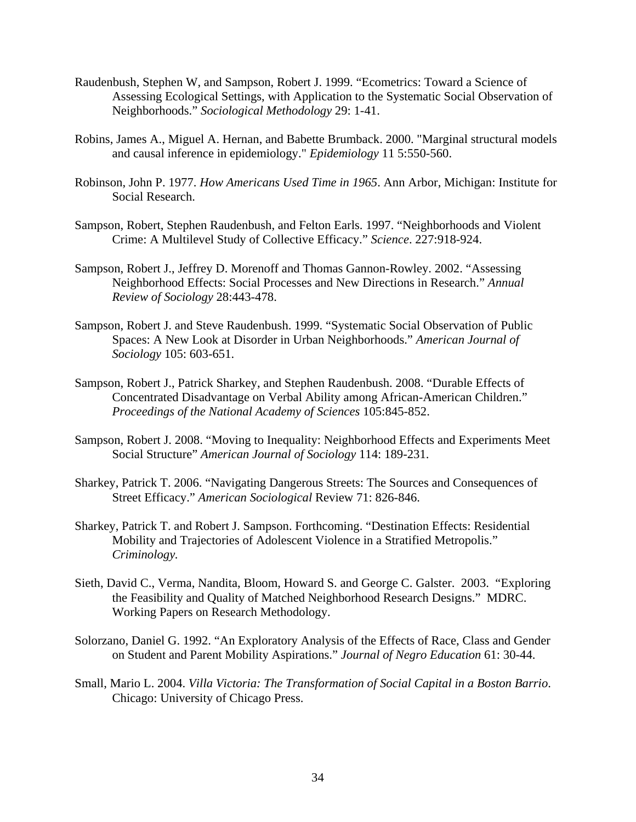- Raudenbush, Stephen W, and Sampson, Robert J. 1999. "Ecometrics: Toward a Science of Assessing Ecological Settings, with Application to the Systematic Social Observation of Neighborhoods." *Sociological Methodology* 29: 1-41.
- Robins, James A., Miguel A. Hernan, and Babette Brumback. 2000. "Marginal structural models and causal inference in epidemiology." *Epidemiology* 11 5:550-560.
- Robinson, John P. 1977. *How Americans Used Time in 1965*. Ann Arbor, Michigan: Institute for Social Research.
- Sampson, Robert, Stephen Raudenbush, and Felton Earls. 1997. "Neighborhoods and Violent Crime: A Multilevel Study of Collective Efficacy." *Science*. 227:918-924.
- Sampson, Robert J., Jeffrey D. Morenoff and Thomas Gannon-Rowley. 2002. "[Assessing](http://www.wjh.harvard.edu/soc/faculty/sampson/articles/2002_ARS.pdf)  [Neighborhood Effects: Social Processes and New Directions in Research](http://www.wjh.harvard.edu/soc/faculty/sampson/articles/2002_ARS.pdf)." *Annual Review of Sociology* 28:443-478.
- Sampson, Robert J. and Steve Raudenbush. 1999. "[Systematic Social Observation of Public](http://www.wjh.harvard.edu/soc/faculty/sampson/articles/1999_AJS_Raudenbush.pdf)  [Spaces: A New Look at Disorder in Urban Neighborhoods](http://www.wjh.harvard.edu/soc/faculty/sampson/articles/1999_AJS_Raudenbush.pdf)." *American Journal of Sociology* 105: 603-651.
- Sampson, Robert J., Patrick Sharkey, and Stephen Raudenbush. 2008. "Durable Effects of Concentrated Disadvantage on Verbal Ability among African-American Children." *Proceedings of the National Academy of Sciences* 105:845-852.
- Sampson, Robert J. 2008. "Moving to Inequality: Neighborhood Effects and Experiments Meet Social Structure" *American Journal of Sociology* 114: 189-231.
- Sharkey, Patrick T. 2006. "Navigating Dangerous Streets: The Sources and Consequences of Street Efficacy." *American Sociological* Review 71: 826-846.
- Sharkey, Patrick T. and Robert J. Sampson. Forthcoming. "Destination Effects: Residential Mobility and Trajectories of Adolescent Violence in a Stratified Metropolis." *Criminology.*
- Sieth, David C., Verma, Nandita, Bloom, Howard S. and George C. Galster. 2003. "Exploring the Feasibility and Quality of Matched Neighborhood Research Designs." MDRC. Working Papers on Research Methodology.
- Solorzano, Daniel G. 1992. "An Exploratory Analysis of the Effects of Race, Class and Gender on Student and Parent Mobility Aspirations." *Journal of Negro Education* 61: 30-44.
- Small, Mario L. 2004. *Villa Victoria: The Transformation of Social Capital in a Boston Barrio*. Chicago: University of Chicago Press.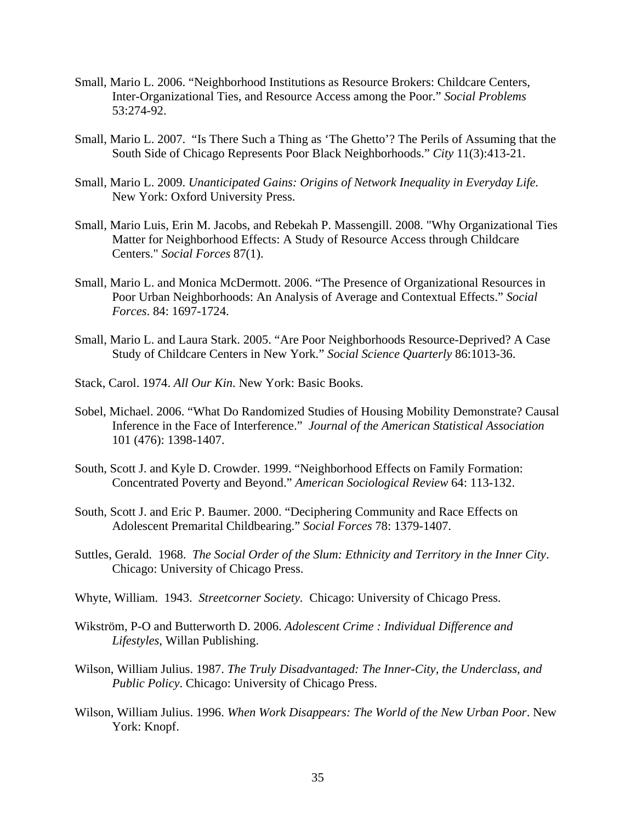- Small, Mario L. 2006. "Neighborhood Institutions as Resource Brokers: Childcare Centers, Inter-Organizational Ties, and Resource Access among the Poor." *Social Problems* 53:274-92.
- Small, Mario L. 2007. "Is There Such a Thing as 'The Ghetto'? The Perils of Assuming that the South Side of Chicago Represents Poor Black Neighborhoods." *City* 11(3):413-21.
- Small, Mario L. 2009. *Unanticipated Gains: Origins of Network Inequality in Everyday Life.* New York: Oxford University Press.
- Small, Mario Luis, Erin M. Jacobs, and Rebekah P. Massengill. 2008. "[Why Organizational Ties](http://home.uchicago.edu/%7Emariosmall/documents/SmallJacobsMassengill_forthcoming_SF.pdf%22=%22)  [Matter for Neighborhood Effects: A Study of Resource Access through Childcare](http://home.uchicago.edu/%7Emariosmall/documents/SmallJacobsMassengill_forthcoming_SF.pdf%22=%22)  [Centers.](http://home.uchicago.edu/%7Emariosmall/documents/SmallJacobsMassengill_forthcoming_SF.pdf%22=%22)" *Social Forces* 87(1).
- Small, Mario L. and Monica McDermott. 2006. "The Presence of Organizational Resources in Poor Urban Neighborhoods: An Analysis of Average and Contextual Effects." *Social Forces*. 84: 1697-1724.
- Small, Mario L. and Laura Stark. 2005. "Are Poor Neighborhoods Resource-Deprived? A Case Study of Childcare Centers in New York." *Social Science Quarterly* 86:1013-36.
- Stack, Carol. 1974. *All Our Kin*. New York: Basic Books.
- Sobel, Michael. 2006. "What Do Randomized Studies of Housing Mobility Demonstrate? Causal Inference in the Face of Interference." *Journal of the American Statistical Association* 101 (476): 1398-1407.
- South, Scott J. and Kyle D. Crowder. 1999. "Neighborhood Effects on Family Formation: Concentrated Poverty and Beyond." *American Sociological Review* 64: 113-132.
- South, Scott J. and Eric P. Baumer. 2000. "Deciphering Community and Race Effects on Adolescent Premarital Childbearing." *Social Forces* 78: 1379-1407.
- Suttles, Gerald. 1968. *The Social Order of the Slum: Ethnicity and Territory in the Inner City*. Chicago: University of Chicago Press.
- Whyte, William. 1943. *Streetcorner Society.* Chicago: University of Chicago Press.
- Wikström, P-O and Butterworth D. 2006. *Adolescent Crime : Individual Difference and Lifestyles*, Willan Publishing.
- Wilson, William Julius. 1987. *The Truly Disadvantaged: The Inner-City, the Underclass, and Public Policy*. Chicago: University of Chicago Press.
- Wilson, William Julius. 1996. *When Work Disappears: The World of the New Urban Poor*. New York: Knopf.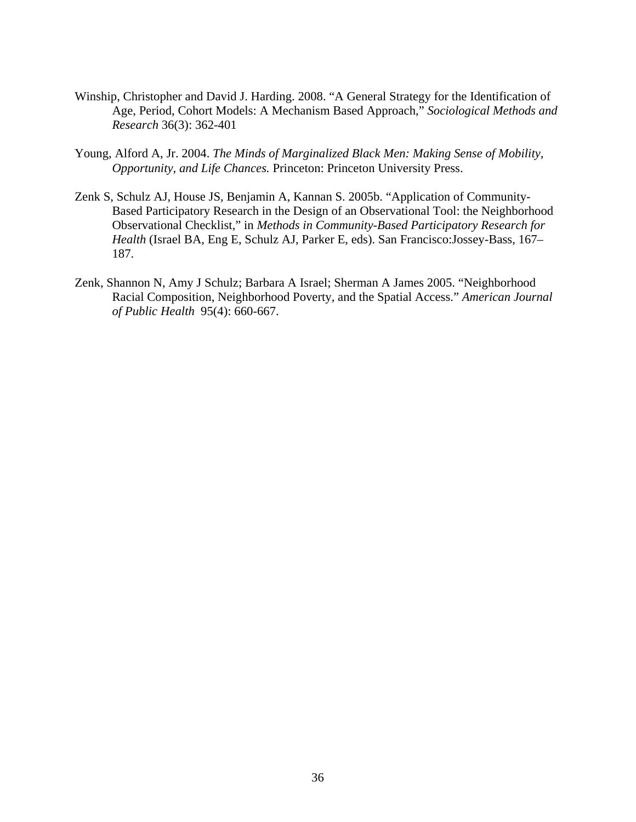- Winship, Christopher and David J. Harding. 2008. "A General Strategy for the Identification of Age, Period, Cohort Models: A Mechanism Based Approach," *Sociological Methods and Research* 36(3): 362-401
- Young, Alford A, Jr. 2004. *The Minds of Marginalized Black Men: Making Sense of Mobility, Opportunity, and Life Chances.* Princeton: Princeton University Press.
- Zenk S, Schulz AJ, House JS, Benjamin A, Kannan S. 2005b. "Application of Community-Based Participatory Research in the Design of an Observational Tool: the Neighborhood Observational Checklist," in *Methods in Community-Based Participatory Research for Health* (Israel BA, Eng E, Schulz AJ, Parker E, eds). San Francisco:Jossey-Bass, 167– 187.
- Zenk, Shannon N, Amy J Schulz; Barbara A Israel; Sherman A James 2005. "Neighborhood Racial Composition, Neighborhood Poverty, and the Spatial Access." *American Journal of Public Health* 95(4): 660-667.